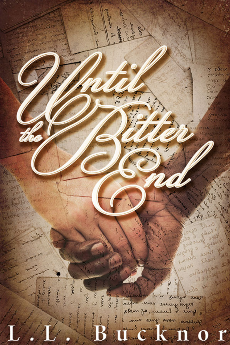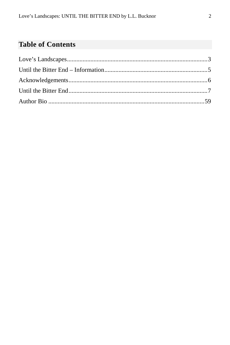## **Table of Contents**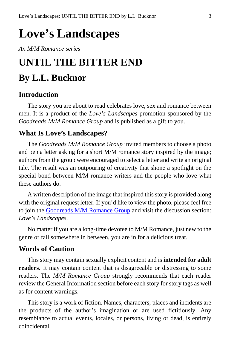## <span id="page-2-0"></span>**Love's Landscapes**

*An M/M Romance series*

## **UNTIL THE BITTER END By L.L. Bucknor**

## **Introduction**

The story you are about to read celebrates love, sex and romance between men. It is a product of the *Love's Landscapes* promotion sponsored by the *Goodreads M/M Romance Group* and is published as a gift to you.

### **What Is Love's Landscapes?**

The *Goodreads M/M Romance Group* invited members to choose a photo and pen a letter asking for a short M/M romance story inspired by the image; authors from the group were encouraged to select a letter and write an original tale. The result was an outpouring of creativity that shone a spotlight on the special bond between M/M romance writers and the people who love what these authors do.

A written description of the image that inspired this story is provided along with the original request letter. If you'd like to view the photo, please feel free to join the [Goodreads M/M Romance Group](http://www.goodreads.com/group/show/20149-m-m-romance) and visit the discussion section: *Love's Landscapes*.

No matter if you are a long-time devotee to M/M Romance, just new to the genre or fall somewhere in between, you are in for a delicious treat.

#### **Words of Caution**

This story may contain sexually explicit content and is **intended for adult readers.** It may contain content that is disagreeable or distressing to some readers. The *M/M Romance Group* strongly recommends that each reader review the General Information section before each story for story tags as well as for content warnings.

This story is a work of fiction. Names, characters, places and incidents are the products of the author's imagination or are used fictitiously. Any resemblance to actual events, locales, or persons, living or dead, is entirely coincidental.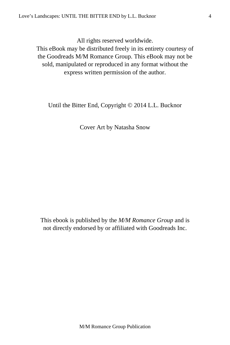All rights reserved worldwide.

This eBook may be distributed freely in its entirety courtesy of the Goodreads M/M Romance Group. This eBook may not be sold, manipulated or reproduced in any format without the express written permission of the author.

Until the Bitter End, Copyright © 2014 L.L. Bucknor

Cover Art by Natasha Snow

This ebook is published by the *M/M Romance Group* and is not directly endorsed by or affiliated with Goodreads Inc.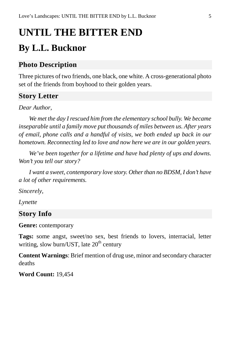# <span id="page-4-0"></span>**UNTIL THE BITTER END By L.L. Bucknor**

## **Photo Description**

Three pictures of two friends, one black, one white. A cross-generational photo set of the friends from boyhood to their golden years.

## **Story Letter**

*Dear Author,*

*We met the day I rescued him from the elementary school bully. We became inseparable until a family move put thousands of miles between us. After years of email, phone calls and a handful of visits, we both ended up back in our hometown. Reconnecting led to love and now here we are in our golden years.*

*We've been together for a lifetime and have had plenty of ups and downs. Won't you tell our story?*

*I want a sweet, contemporary love story. Other than no BDSM, I don't have a lot of other requirements.*

*Sincerely,*

*Lynette*

### **Story Info**

**Genre:** contemporary

**Tags:** some angst, sweet/no sex, best friends to lovers, interracial, letter writing, slow burn/UST, late  $20<sup>th</sup>$  century

**Content Warnings**: Brief mention of drug use, minor and secondary character deaths

**Word Count:** 19,454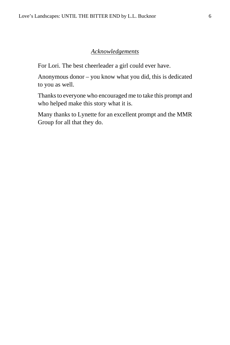#### *Acknowledgements*

<span id="page-5-0"></span>For Lori. The best cheerleader a girl could ever have.

Anonymous donor – you know what you did, this is dedicated to you as well.

Thanks to everyone who encouraged me to take this prompt and who helped make this story what it is.

Many thanks to Lynette for an excellent prompt and the MMR Group for all that they do.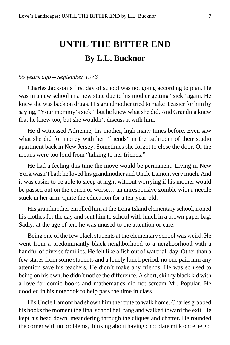## <span id="page-6-0"></span>**UNTIL THE BITTER END By L.L. Bucknor**

#### *55 years ago – September 1976*

Charles Jackson's first day of school was not going according to plan. He was in a new school in a new state due to his mother getting "sick" again. He knew she was back on drugs. His grandmother tried to make it easier for him by saying, "Your mommy's sick," but he knew what she did. And Grandma knew that he knew too, but she wouldn't discuss it with him.

He'd witnessed Adrienne, his mother, high many times before. Even saw what she did for money with her "friends" in the bathroom of their studio apartment back in New Jersey. Sometimes she forgot to close the door. Or the moans were too loud from "talking to her friends."

He had a feeling this time the move would be permanent. Living in New York wasn't bad; he loved his grandmother and Uncle Lamont very much. And it was easier to be able to sleep at night without worrying if his mother would be passed out on the couch or worse… an unresponsive zombie with a needle stuck in her arm. Quite the education for a ten-year-old.

His grandmother enrolled him at the Long Island elementary school, ironed his clothes for the day and sent him to school with lunch in a brown paper bag. Sadly, at the age of ten, he was unused to the attention or care.

Being one of the few black students at the elementary school was weird. He went from a predominantly black neighborhood to a neighborhood with a handful of diverse families. He felt like a fish out of water all day. Other than a few stares from some students and a lonely lunch period, no one paid him any attention save his teachers. He didn't make any friends. He was so used to being on his own, he didn't notice the difference. A short, skinny black kid with a love for comic books and mathematics did not scream Mr. Popular. He doodled in his notebook to help pass the time in class.

His Uncle Lamont had shown him the route to walk home. Charles grabbed his books the moment the final school bell rang and walked toward the exit. He kept his head down, meandering through the cliques and chatter. He rounded the corner with no problems, thinking about having chocolate milk once he got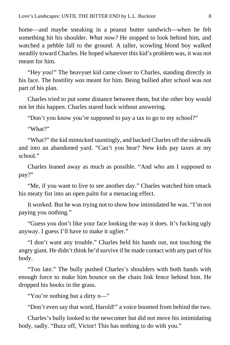home—and maybe sneaking in a peanut butter sandwich—when he felt something hit his shoulder. *What now?* He stopped to look behind him, and watched a pebble fall to the ground. A taller, scowling blond boy walked steadily toward Charles. He hoped whatever this kid's problem was, it was not meant for him.

"Hey you!" The heavyset kid came closer to Charles, standing directly in his face. The hostility *was* meant for him. Being bullied after school was not part of his plan.

Charles tried to put some distance between them, but the other boy would not let this happen. Charles stared back without answering.

"Don't you know you're supposed to pay a tax to go to my school?"

"What?"

"What?" the kid mimicked tauntingly, and backed Charles off the sidewalk and into an abandoned yard. "Can't you hear? New kids pay taxes at my school."

Charles leaned away as much as possible. "And who am I supposed to pay?"

"Me, if you want to live to see another day." Charles watched him smack his meaty fist into an open palm for a menacing effect.

It worked. But he was trying not to show how intimidated he was. "I'm not paying you nothing."

"Guess you don't like your face looking the way it does. It's fucking ugly anyway. I guess I'll have to make it uglier."

"I don't want any trouble." Charles held his hands out, not touching the angry giant. He didn't think he'd survive if he made contact with any part of his body.

"Too late." The bully pushed Charles's shoulders with both hands with enough force to make him bounce on the chain link fence behind him. He dropped his books in the grass.

"You're nothing but a dirty n—"

"Don't even say that word, Harold!" a voice boomed from behind the two.

Charles's bully looked to the newcomer but did not move his intimidating body, sadly. "Buzz off, Victor! This has nothing to do with you."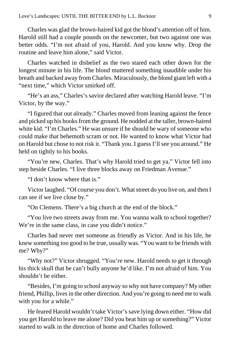Charles was glad the brown-haired kid got the blond's attention off of him. Harold still had a couple pounds on the newcomer, but two against one was better odds. "I'm not afraid of you, Harold. And you know why. Drop the routine and leave him alone," said Victor.

Charles watched in disbelief as the two stared each other down for the longest minute in his life. The blond muttered something inaudible under his breath and backed away from Charles. Miraculously, the blond giant left with a "next time," which Victor smirked off.

"He's an ass," Charles's savior declared after watching Harold leave. "I'm Victor, by the way."

"I figured that out already." Charles moved from leaning against the fence and picked up his books from the ground. He nodded at the taller, brown-haired white kid. "I'm Charles." He was unsure if he should be wary of someone who could make that behemoth scram or not. He wanted to know what Victor had on Harold but chose to not risk it. "Thank you. I guess I'll see you around." He held on tightly to his books.

"You're new, Charles. That's why Harold tried to get ya." Victor fell into step beside Charles. "I live three blocks away on Friedman Avenue."

"I don't know where that is."

Victor laughed. "Of course you don't. What street do you live on, and then I can see if we live close by."

"On Clemens. There's a big church at the end of the block."

"You live two streets away from me. You wanna walk to school together? We're in the same class, in case you didn't notice."

Charles had never met someone as friendly as Victor. And in his life, he knew something too good to be true, usually was. "You want to be friends with me? Why?"

"Why not?" Victor shrugged. "You're new. Harold needs to get it through his thick skull that he can't bully anyone he'd like. I'm not afraid of him. You shouldn't be either.

"Besides, I'm going to school anyway so why not have company? My other friend, Phillip, lives in the other direction. And you're going to need me to walk with you for a while."

He feared Harold wouldn't take Victor's save lying down either. "How did you get Harold to leave me alone? Did you beat him up or something?" Victor started to walk in the direction of home and Charles followed.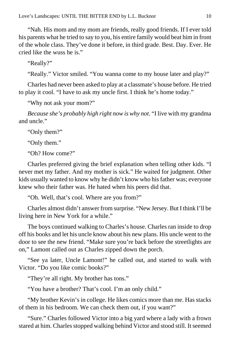"Nah. His mom and my mom are friends, really good friends. If I ever told his parents what he tried to say to you, his entire family would beat him in front of the whole class. They've done it before, in third grade. Best. Day. Ever. He cried like the wuss he is."

"Really?"

"Really." Victor smiled. "You wanna come to my house later and play?"

Charles had never been asked to play at a classmate's house before. He tried to play it cool. "I have to ask my uncle first. I think he's home today."

"Why not ask your mom?"

*Because she's probably high right now is why not*. "I live with my grandma and uncle."

"Only them?"

"Only them."

"Oh? How come?"

Charles preferred giving the brief explanation when telling other kids. "I never met my father. And my mother is sick." He waited for judgment. Other kids usually wanted to know why he didn't know who his father was; everyone knew who their father was. He hated when his peers did that.

"Oh. Well, that's cool. Where are you from?"

Charles almost didn't answer from surprise. "New Jersey. But I think I'll be living here in New York for a while."

The boys continued walking to Charles's house. Charles ran inside to drop off his books and let his uncle know about his new plans. His uncle went to the door to see the new friend. "Make sure you're back before the streetlights are on," Lamont called out as Charles zipped down the porch.

"See ya later, Uncle Lamont!" he called out, and started to walk with Victor. "Do you like comic books?"

"They're all right. My brother has tons."

"You have a brother? That's cool. I'm an only child."

"My brother Kevin's in college. He likes comics more than me. Has stacks of them in his bedroom. We can check them out, if you want?"

"Sure." Charles followed Victor into a big yard where a lady with a frown stared at him. Charles stopped walking behind Victor and stood still. It seemed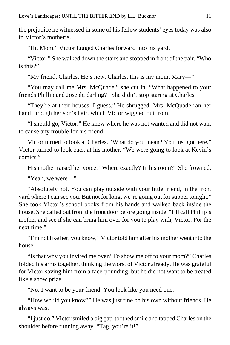the prejudice he witnessed in some of his fellow students' eyes today was also in Victor's mother's.

"Hi, Mom." Victor tugged Charles forward into his yard.

"Victor." She walked down the stairs and stopped in front of the pair. "Who is this?"

"My friend, Charles. He's new. Charles, this is my mom, Mary—"

"You may call me Mrs. McQuade," she cut in. "What happened to your friends Phillip and Joseph, darling?" She didn't stop staring at Charles.

"They're at their houses, I guess." He shrugged. Mrs. McQuade ran her hand through her son's hair, which Victor wiggled out from.

"I should go, Victor." He knew where he was not wanted and did not want to cause any trouble for his friend.

Victor turned to look at Charles. "What do you mean? You just got here." Victor turned to look back at his mother. "We were going to look at Kevin's comics."

His mother raised her voice. "Where exactly? In his room?" She frowned.

"Yeah, we were—"

"Absolutely not. You can play outside with your little friend, in the front yard where I can see you. But not for long, we're going out for supper tonight." She took Victor's school books from his hands and walked back inside the house. She called out from the front door before going inside, "I'll call Phillip's mother and see if she can bring him over for you to play with, Victor. For the next time."

"I'm not like her, you know," Victor told him after his mother went into the house.

"Is that why you invited me over? To show me off to your mom?" Charles folded his arms together, thinking the worst of Victor already. He was grateful for Victor saving him from a face-pounding, but he did not want to be treated like a show prize.

"No. I want to be your friend. You look like you need one."

"How would you know?" He was just fine on his own without friends. He always was.

"I just do." Victor smiled a big gap-toothed smile and tapped Charles on the shoulder before running away. "Tag, you're it!"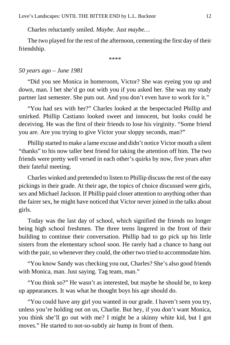Charles reluctantly smiled. *Maybe. Just maybe…*

The two played for the rest of the afternoon, cementing the first day of their friendship.

\*\*\*\*

#### *50 years ago – June 1981*

"Did you see Monica in homeroom, Victor? She was eyeing you up and down, man. I bet she'd go out with you if you asked her. She was my study partner last semester. She puts out. And you don't even have to work for it."

"You had sex with her?" Charles looked at the bespectacled Phillip and smirked. Phillip Castiano looked sweet and innocent, but looks could be deceiving. He was the first of their friends to lose his virginity. "Some friend you are. Are you trying to give Victor your sloppy seconds, man?"

Phillip started to make a lame excuse and didn't notice Victor mouth a silent "thanks" to his now taller best friend for taking the attention off him. The two friends were pretty well versed in each other's quirks by now, five years after their fateful meeting.

Charles winked and pretended to listen to Phillip discuss the rest of the easy pickings in their grade. At their age, the topics of choice discussed were girls, sex and Michael Jackson. If Phillip paid closer attention to anything other than the fairer sex, he might have noticed that Victor never joined in the talks about girls.

Today was the last day of school, which signified the friends no longer being high school freshmen. The three teens lingered in the front of their building to continue their conversation. Phillip had to go pick up his little sisters from the elementary school soon. He rarely had a chance to hang out with the pair, so whenever they could, the other two tried to accommodate him.

"You know Sandy was checking you out, Charles? She's also good friends with Monica, man. Just saying. Tag team, man."

"You think so?" He wasn't as interested, but maybe he should be, to keep up appearances. It was what he thought boys his age should do.

"You could have any girl you wanted in our grade. I haven't seen you try, unless you're holding out on us, Charlie. But hey, if you don't want Monica, you think she'll go out with me? I might be a skinny white kid, but I got moves." He started to not-so-subtly air hump in front of them.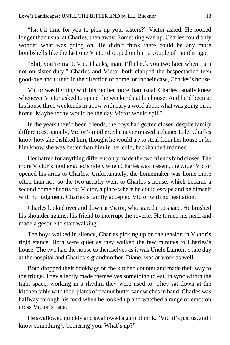"Isn't it time for you to pick up your sisters?" Victor asked. He looked longer than usual at Charles, then away. Something was up. Charles could only wonder what was going on. He didn't think there could be any more bombshells like the last one Victor dropped on him a couple of months ago.

"Shit, you're right, Vic. Thanks, man. I'll check you two later when I am not on sister duty." Charles and Victor both clapped the bespectacled teen good-bye and turned in the direction of home, or in their case, Charles's house.

Victor was fighting with his mother more than usual. Charles usually knew whenever Victor asked to spend the weekends at his house. And he'd been at his house three weekends in a row with nary a word about what was going on at home. Maybe today would be the day Victor would spill?

In the years they'd been friends, the boys had gotten closer, despite family differences, namely, Victor's mother. She never missed a chance to let Charles know how she disliked him, thought he would try to steal from her house or let him know she was better than him in her cold, backhanded manner.

Her hatred for anything different only made the two friends bind closer. The more Victor's mother acted snidely when Charles was present, the wider Victor opened his arms to Charles. Unfortunately, the homemaker was home more often than not, so the two usually went to Charles's house, which became a second home of sorts for Victor, a place where he could escape and be himself with no judgment. Charles's family accepted Victor with no hesitation.

Charles looked over and down at Victor, who stared into space. He brushed his shoulder against his friend to interrupt the reverie. He turned his head and made a gesture to start walking.

The boys walked in silence, Charles picking up on the tension in Victor's rigid stance. Both were quiet as they walked the few minutes to Charles's house. The two had the house to themselves as it was Uncle Lamont's late day at the hospital and Charles's grandmother, Diane, was at work as well.

Both dropped their bookbags on the kitchen counter and made their way to the fridge. They silently made themselves something to eat, in sync within the tight space, working in a rhythm they were used to. They sat down at the kitchen table with their plates of peanut butter sandwiches in hand. Charles was halfway through his food when he looked up and watched a range of emotion cross Victor's face.

He swallowed quickly and swallowed a gulp of milk. "Vic, it's just us, and I know something's bothering you. What's up?"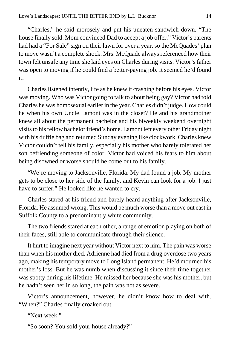"Charles," he said morosely and put his uneaten sandwich down. "The house finally sold. Mom convinced Dad to accept a job offer." Victor's parents had had a "For Sale" sign on their lawn for over a year, so the McQuades' plan to move wasn't a complete shock. Mrs. McQuade always referenced how their town felt unsafe any time she laid eyes on Charles during visits. Victor's father was open to moving if he could find a better-paying job. It seemed he'd found it.

Charles listened intently, life as he knew it crashing before his eyes. Victor was moving. Who was Victor going to talk to about being gay? Victor had told Charles he was homosexual earlier in the year. Charles didn't judge. How could he when his own Uncle Lamont was in the closet? He and his grandmother knew all about the permanent bachelor and his biweekly weekend overnight visits to his fellow bachelor friend's home. Lamont left every other Friday night with his duffle bag and returned Sunday evening like clockwork. Charles knew Victor couldn't tell his family, especially his mother who barely tolerated her son befriending someone of color. Victor had voiced his fears to him about being disowned or worse should he come out to his family.

"We're moving to Jacksonville, Florida. My dad found a job. My mother gets to be close to her side of the family, and Kevin can look for a job. I just have to suffer." He looked like he wanted to cry.

Charles stared at his friend and barely heard anything after Jacksonville, Florida. He assumed wrong. This would be much worse than a move out east in Suffolk County to a predominantly white community.

The two friends stared at each other, a range of emotion playing on both of their faces, still able to communicate through their silence.

It hurt to imagine next year without Victor next to him. The pain was worse than when his mother died. Adrienne had died from a drug overdose two years ago, making his temporary move to Long Island permanent. He'd mourned his mother's loss. But he was numb when discussing it since their time together was spotty during his lifetime. He missed her because she was his mother, but he hadn't seen her in so long, the pain was not as severe.

Victor's announcement, however, he didn't know how to deal with. "When?" Charles finally croaked out.

"Next week."

"So soon? You sold your house already?"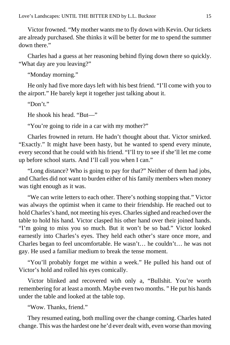Victor frowned. "My mother wants me to fly down with Kevin. Our tickets are already purchased. She thinks it will be better for me to spend the summer down there."

Charles had a guess at her reasoning behind flying down there so quickly. "What day are you leaving?"

"Monday morning."

He only had five more days left with his best friend. "I'll come with you to the airport." He barely kept it together just talking about it.

"Don't."

He shook his head. "But—"

"You're going to ride in a car with my mother?"

Charles frowned in return. He hadn't thought about that. Victor smirked. "Exactly." It might have been hasty, but he wanted to spend every minute, every second that he could with his friend. "I'll try to see if she'll let me come up before school starts. And I'll call you when I can."

"Long distance? Who is going to pay for that?" Neither of them had jobs, and Charles did not want to burden either of his family members when money was tight enough as it was.

"We can write letters to each other. There's nothing stopping that." Victor was always the optimist when it came to their friendship. He reached out to hold Charles's hand, not meeting his eyes. Charles sighed and reached over the table to hold his hand. Victor clasped his other hand over their joined hands. "I'm going to miss you so much. But it won't be so bad." Victor looked earnestly into Charles's eyes. They held each other's stare once more, and Charles began to feel uncomfortable. He wasn't… he couldn't… he was not gay. He used a familiar medium to break the tense moment.

"You'll probably forget me within a week." He pulled his hand out of Victor's hold and rolled his eyes comically.

Victor blinked and recovered with only a, "Bullshit. You're worth remembering for at least a month. Maybe even two months. " He put his hands under the table and looked at the table top.

"Wow. Thanks, friend."

They resumed eating, both mulling over the change coming. Charles hated change. This was the hardest one he'd ever dealt with, even worse than moving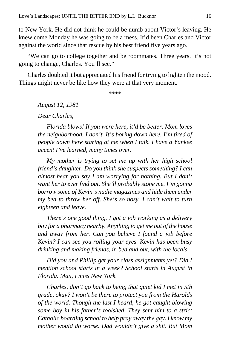to New York. He did not think he could be numb about Victor's leaving. He knew come Monday he was going to be a mess. It'd been Charles and Victor against the world since that rescue by his best friend five years ago.

"We can go to college together and be roommates. Three years. It's not going to change, Charles. You'll see."

Charles doubted it but appreciated his friend for trying to lighten the mood. Things might never be like how they were at that very moment.

\*\*\*\*

*August 12, 1981*

*Dear Charles,*

*Florida blows! If you were here, it'd be better. Mom loves the neighborhood. I don't. It's boring down here. I'm tired of people down here staring at me when I talk. I have a Yankee accent I've learned, many times over.*

*My mother is trying to set me up with her high school friend's daughter. Do you think she suspects something? I can almost hear you say I am worrying for nothing. But I don't want her to ever find out. She'll probably stone me. I'm gonna borrow some of Kevin's nudie magazines and hide them under my bed to throw her off. She's so nosy. I can't wait to turn eighteen and leave.*

*There's one good thing. I got a job working as a delivery boy for a pharmacy nearby. Anything to get me out of the house and away from her. Can you believe I found a job before Kevin? I can see you rolling your eyes. Kevin has been busy drinking and making friends, in bed and out, with the locals.*

*Did you and Phillip get your class assignments yet? Did I mention school starts in a week? School starts in August in Florida. Man, I miss New York.*

*Charles, don't go back to being that quiet kid I met in 5th grade, okay? I won't be there to protect you from the Harolds of the world. Though the last I heard, he got caught blowing some boy in his father's toolshed. They sent him to a strict Catholic boarding school to help pray away the gay. I know my mother would do worse. Dad wouldn't give a shit. But Mom*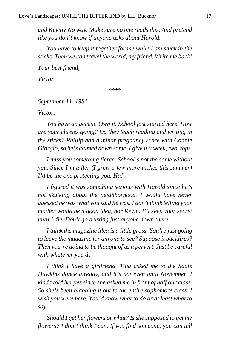*and Kevin? No way. Make sure no one reads this. And pretend like you don't know if anyone asks about Harold.*

*You have to keep it together for me while I am stuck in the sticks. Then we can travel the world, my friend. Write me back!*

*Your best friend,*

*Victor*

\*\*\*\*

#### *September 11, 1981*

*Victor,*

*You have an accent. Own it. School just started here. How are your classes going? Do they teach reading and writing in the sticks? Phillip had a minor pregnancy scare with Connie Giorgio, so he's calmed down some. I give it a week, two, tops.*

*I miss you something fierce. School's not the same without you. Since I'm taller (I grew a few more inches this summer) I'd be the one protecting you. Ha!*

*I figured it was something serious with Harold since he's not skulking about the neighborhood. I would have never guessed he was what you said he was. I don't think telling your mother would be a good idea, nor Kevin. I'll keep your secret until I die. Don't go trusting just anyone down there.*

*I think the magazine idea is a little gross. You're just going to leave the magazine for anyone to see? Suppose it backfires? Then you're going to be thought of as a pervert. Just be careful with whatever you do.*

*I think I have a girlfriend. Tina asked me to the Sadie Hawkins dance already, and it's not even until November. I kinda told her yes since she asked me in front of half our class. So she's been blabbing it out to the entire sophomore class. I wish you were here. You'd know what to do or at least what to say.*

*Should I get her flowers or what? Is she supposed to get me flowers? I don't think I can. If you find someone, you can tell*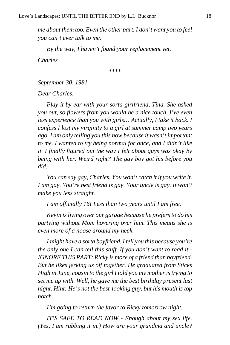*me about them too. Even the other part. I don't want you to feel you can't ever talk to me.*

*By the way, I haven't found your replacement yet.*

*Charles*

\*\*\*\*

*September 30, 1981*

*Dear Charles,*

*Play it by ear with your sorta girlfriend, Tina. She asked you out, so flowers from you would be a nice touch. I've even less experience than you with girls… Actually, I take it back. I confess I lost my virginity to a girl at summer camp two years ago. I am only telling you this now because it wasn't important to me. I wanted to try being normal for once, and I didn't like it. I finally figured out the way I felt about guys was okay by being with her. Weird right? The gay boy got his before you did.*

*You can say gay, Charles. You won't catch it if you write it. I am gay. You're best friend is gay. Your uncle is gay. It won't make you less straight.*

*I am officially 16! Less than two years until I am free.*

*Kevin is living over our garage because he prefers to do his partying without Mom hovering over him. This means she is even more of a noose around my neck.*

*I might have a sorta boyfriend. I tell you this because you're the only one I can tell this stuff. If you don't want to read it - IGNORE THIS PART: Ricky is more of a friend than boyfriend. But he likes jerking us off together. He graduated from Sticks High in June, cousin to the girl I told you my mother is trying to set me up with. Well, he gave me the best birthday present last night. Hint: He's not the best-looking guy, but his mouth is top notch.*

*I'm going to return the favor to Ricky tomorrow night.*

*IT'S SAFE TO READ NOW - Enough about my sex life. (Yes, I am rubbing it in.) How are your grandma and uncle?*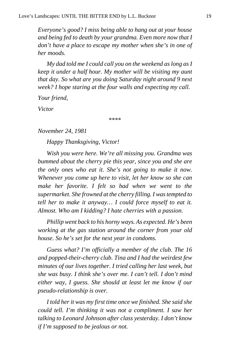*Everyone's good? I miss being able to hang out at your house and being fed to death by your grandma. Even more now that I don't have a place to escape my mother when she's in one of her moods.*

*My dad told me I could call you on the weekend as long as I keep it under a half hour. My mother will be visiting my aunt that day. So what are you doing Saturday night around 9 next week? I hope staring at the four walls and expecting my call.*

*Your friend,*

*Victor*

\*\*\*\*

#### *November 24, 1981*

*Happy Thanksgiving, Victor!*

*Wish you were here. We're all missing you. Grandma was bummed about the cherry pie this year, since you and she are the only ones who eat it. She's not going to make it now. Whenever you come up here to visit, let her know so she can make her favorite. I felt so bad when we went to the supermarket. She frowned at the cherry filling. I was tempted to tell her to make it anyway… I could force myself to eat it. Almost. Who am I kidding? I hate cherries with a passion.*

*Phillip went back to his horny ways. As expected. He's been working at the gas station around the corner from your old house. So he's set for the next year in condoms.*

*Guess what? I'm officially a member of the club. The 16 and popped-their-cherry club. Tina and I had the weirdest few minutes of our lives together. I tried calling her last week, but she was busy. I think she's over me. I can't tell. I don't mind either way, I guess. She should at least let me know if our pseudo-relationship is over.*

*I told her it was my first time once we finished. She said she could tell. I'm thinking it was not a compliment. I saw her talking to Leonard Johnson after class yesterday. I don't know if I'm supposed to be jealous or not.*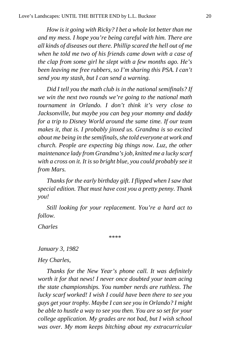*How is it going with Ricky? I bet a whole lot better than me and my mess. I hope you're being careful with him. There are all kinds of diseases out there. Phillip scared the hell out of me when he told me two of his friends came down with a case of the clap from some girl he slept with a few months ago. He's been leaving me free rubbers, so I'm sharing this PSA. I can't send you my stash, but I can send a warning.*

*Did I tell you the math club is in the national semifinals? If we win the next two rounds we're going to the national math tournament in Orlando. I don't think it's very close to Jacksonville, but maybe you can beg your mommy and daddy for a trip to Disney World around the same time. If our team makes it, that is. I probably jinxed us. Grandma is so excited about me being in the semifinals, she told everyone at work and church. People are expecting big things now. Luz, the other maintenance lady from Grandma's job, knitted me a lucky scarf with a cross on it. It is so bright blue, you could probably see it from Mars.*

*Thanks for the early birthday gift. I flipped when I saw that special edition. That must have cost you a pretty penny. Thank you!*

*Still looking for your replacement. You're a hard act to follow.*

*Charles*

\*\*\*\*

*January 3, 1982*

*Hey Charles,*

*Thanks for the New Year's phone call. It was definitely worth it for that news! I never once doubted your team acing the state championships. You number nerds are ruthless. The lucky scarf worked! I wish I could have been there to see you guys get your trophy. Maybe I can see you in Orlando? I might be able to hustle a way to see you then. You are so set for your college application. My grades are not bad, but I wish school was over. My mom keeps bitching about my extracurricular*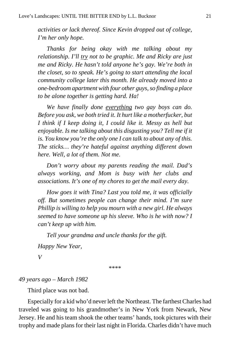*activities or lack thereof. Since Kevin dropped out of college, I'm her only hope.*

*Thanks for being okay with me talking about my relationship. I'll try not to be graphic. Me and Ricky are just me and Ricky. He hasn't told anyone he's gay. We're both in the closet, so to speak. He's going to start attending the local community college later this month. He already moved into a one-bedroom apartment with four other guys, so finding a place to be alone together is getting hard. Ha!*

*We have finally done everything two gay boys can do. Before you ask, we both tried it. It hurt like a motherfucker, but I think if I keep doing it, I could like it. Messy as hell but enjoyable. Is me talking about this disgusting you? Tell me if it is. You know you're the only one I can talk to about any of this. The sticks… they're hateful against anything different down here. Well, a lot of them. Not me.*

*Don't worry about my parents reading the mail. Dad's always working, and Mom is busy with her clubs and associations. It's one of my chores to get the mail every day.*

*How goes it with Tina? Last you told me, it was officially off. But sometimes people can change their mind. I'm sure Phillip is willing to help you mourn with a new girl. He always seemed to have someone up his sleeve. Who is he with now? I can't keep up with him.*

*Tell your grandma and uncle thanks for the gift.*

*Happy New Year,*

*V*

\*\*\*\*

#### *49 years ago – March 1982*

Third place was not bad.

Especially for a kid who'd never left the Northeast. The farthest Charles had traveled was going to his grandmother's in New York from Newark, New Jersey. He and his team shook the other teams' hands, took pictures with their trophy and made plans for their last night in Florida. Charles didn't have much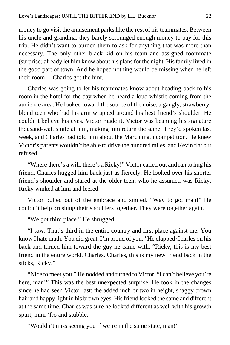money to go visit the amusement parks like the rest of his teammates. Between his uncle and grandma, they barely scrounged enough money to pay for this trip. He didn't want to burden them to ask for anything that was more than necessary. The only other black kid on his team and assigned roommate (surprise) already let him know about his plans for the night. His family lived in the good part of town. And he hoped nothing would be missing when he left their room… Charles got the hint.

Charles was going to let his teammates know about heading back to his room in the hotel for the day when he heard a loud whistle coming from the audience area. He looked toward the source of the noise, a gangly, strawberryblond teen who had his arm wrapped around his best friend's shoulder. He couldn't believe his eyes. Victor made it. Victor was beaming his signature thousand-watt smile at him, making him return the same. They'd spoken last week, and Charles had told him about the March math competition. He knew Victor's parents wouldn't be able to drive the hundred miles, and Kevin flat out refused.

"Where there's a will, there's a Ricky!" Victor called out and ran to hug his friend. Charles hugged him back just as fiercely. He looked over his shorter friend's shoulder and stared at the older teen, who he assumed was Ricky. Ricky winked at him and leered.

Victor pulled out of the embrace and smiled. "Way to go, man!" He couldn't help brushing their shoulders together. They were together again.

"We got third place." He shrugged.

"I saw. That's third in the entire country and first place against me. You know I hate math. You did great. I'm proud of you." He clapped Charles on his back and turned him toward the guy he came with. "Ricky, this is my best friend in the entire world, Charles. Charles, this is my new friend back in the sticks, Ricky."

"Nice to meet you." He nodded and turned to Victor. "I can't believe you're here, man!" This was the best unexpected surprise. He took in the changes since he had seen Victor last: the added inch or two in height, shaggy brown hair and happy light in his brown eyes. His friend looked the same and different at the same time. Charles was sure he looked different as well with his growth spurt, mini 'fro and stubble.

"Wouldn't miss seeing you if we're in the same state, man!"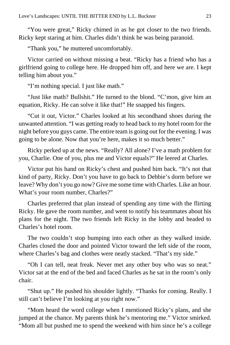"You were great," Ricky chimed in as he got closer to the two friends. Ricky kept staring at him. Charles didn't think he was being paranoid.

"Thank you," he muttered uncomfortably.

Victor carried on without missing a beat. "Ricky has a friend who has a girlfriend going to college here. He dropped him off, and here we are. I kept telling him about you."

"I'm nothing special. I just like math."

"Just like math? Bullshit." He turned to the blond. "C'mon, give him an equation, Ricky. He can solve it like that!" He snapped his fingers.

"Cut it out, Victor." Charles looked at his secondhand shoes during the unwanted attention. "I was getting ready to head back to my hotel room for the night before you guys came. The entire team is going out for the evening. I was going to be alone. Now that you're here, makes it so much better."

Ricky perked up at the news. "Really? All alone? I've a math problem for you, Charlie. One of you, plus me and Victor equals?" He leered at Charles.

Victor put his hand on Ricky's chest and pushed him back. "It's not that kind of party, Ricky. Don't you have to go back to Debbie's dorm before we leave? Why don't you go now? Give me some time with Charles. Like an hour. What's your room number, Charles?"

Charles preferred that plan instead of spending any time with the flirting Ricky. He gave the room number, and went to notify his teammates about his plans for the night. The two friends left Ricky in the lobby and headed to Charles's hotel room.

The two couldn't stop bumping into each other as they walked inside. Charles closed the door and pointed Victor toward the left side of the room, where Charles's bag and clothes were neatly stacked. "That's my side."

"Oh I can tell, neat freak. Never met any other boy who was so neat." Victor sat at the end of the bed and faced Charles as he sat in the room's only chair.

"Shut up." He pushed his shoulder lightly. "Thanks for coming. Really. I still can't believe I'm looking at you right now."

"Mom heard the word college when I mentioned Ricky's plans, and she jumped at the chance. My parents think he's mentoring me." Victor smirked. "Mom all but pushed me to spend the weekend with him since he's a college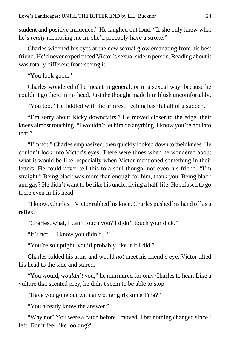student and positive influence." He laughed out loud. "If she only knew what he's *really* mentoring me in, she'd probably have a stroke."

Charles widened his eyes at the new sexual glow emanating from his best friend. He'd never experienced Victor's sexual side in person. Reading about it was totally different from seeing it.

"You look good."

Charles wondered if he meant in general, or in a sexual way, because he couldn't go there in his head. Just the thought made him blush uncomfortably.

"You too." He fiddled with the armrest, feeling bashful all of a sudden.

"I'm sorry about Ricky downstairs." He moved closer to the edge, their knees almost touching. "I wouldn't let him do anything. I know you're not into that."

"I'm not," Charles emphasized, then quickly looked down to their knees. He couldn't look into Victor's eyes. There were times when he wondered about what it would be like, especially when Victor mentioned something in their letters. He could never tell this to a soul though, not even his friend. "I'm straight." Being black was more than enough for him, thank you. Being black and gay? He didn't want to be like his uncle, living a half-life. He refused to go there even in his head.

"I know, Charles." Victor rubbed his knee. Charles pushed his hand off as a reflex.

"Charles, what, I can't touch you? I didn't touch your dick."

"It's not… I know you didn't—"

"You're so uptight, you'd probably like it if I did."

Charles folded his arms and would *not* meet his friend's eye. Victor tilted his head to the side and stared.

"You would, *wouldn't* you," he murmured for only Charles to hear. Like a vulture that scented prey, he didn't seem to be able to stop.

"Have you gone out with any other girls since Tina?"

"You already know the answer."

"Why not? You were a catch before I moved. I bet nothing changed since I left. Don't feel like looking?"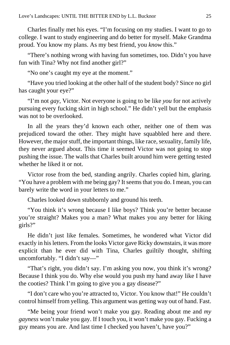Charles finally met his eyes. "I'm focusing on my studies. I want to go to college. I want to study engineering and do better for myself. Make Grandma proud. You know my plans. As my best friend, you *know* this."

"There's nothing wrong with having fun sometimes, too. Didn't you have fun with Tina? Why not find another girl?"

"No one's caught my eye at the moment."

"Have you tried looking at the other half of the student body? Since no girl has caught your eye?"

"I'm not *gay*, Victor. Not everyone is going to be like *you* for not actively pursuing every fucking skirt in high school." He didn't yell but the emphasis was not to be overlooked.

In all the years they'd known each other, neither one of them was prejudiced toward the other. They might have squabbled here and there. However, the major stuff, the important things, like race, sexuality, family life, they never argued about. This time it seemed Victor was not going to stop pushing the issue. The walls that Charles built around him were getting tested whether he liked it or not.

Victor rose from the bed, standing angrily. Charles copied him, glaring. "You have a problem with me being gay? It seems that you do. I mean, you can barely write the word in your letters to me."

Charles looked down stubbornly and ground his teeth.

"You think it's wrong because I like boys? Think you're better because you're straight? Makes you a man? What makes you any better for liking girls?"

He didn't just like females. Sometimes, he wondered what Victor did exactly in his letters. From the looks Victor gave Ricky downstairs, it was more explicit than he ever did with Tina, Charles guiltily thought, shifting uncomfortably. "I didn't say—"

"That's right, you didn't say. I'm asking you now, you think it's wrong? Because I think you do. Why else would you push my hand away like I have the cooties? Think I'm going to give you a gay disease?"

"I don't care who you're attracted to, Victor. You know that!" He couldn't control himself from yelling. This argument was getting way out of hand. Fast.

"Me being your friend won't make you gay. Reading about me and *my gayness* won't make you gay. If I touch you, it won't make you gay. Fucking a guy means you are. And last time I checked you haven't, have you?"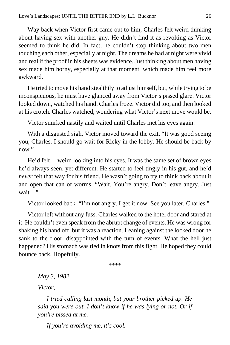Way back when Victor first came out to him, Charles felt weird thinking about having sex with another guy. He didn't find it as revolting as Victor seemed to think he did. In fact, he couldn't stop thinking about two men touching each other, especially at night. The dreams he had at night were vivid and real if the proof in his sheets was evidence. Just thinking about men having sex made him horny, especially at that moment, which made him feel more awkward.

He tried to move his hand stealthily to adjust himself, but, while trying to be inconspicuous, he must have glanced away from Victor's pissed glare. Victor looked down, watched his hand. Charles froze. Victor did too, and then looked at his crotch. Charles watched, wondering what Victor's next move would be.

Victor smirked nastily and waited until Charles met his eyes again.

With a disgusted sigh, Victor moved toward the exit. "It was good seeing you, Charles. I should go wait for Ricky in the lobby. He should be back by now."

He'd felt… weird looking into his eyes. It was the same set of brown eyes he'd always seen, yet different. He started to feel tingly in his gut, and he'd *never* felt that way for his friend. He wasn't going to try to think back about it and open that can of worms. "Wait. You're angry. Don't leave angry. Just wait—"

Victor looked back. "I'm not angry. I get it now. See you later, Charles."

Victor left without any fuss. Charles walked to the hotel door and stared at it. He couldn't even speak from the abrupt change of events. He was wrong for shaking his hand off, but it was a reaction. Leaning against the locked door he sank to the floor, disappointed with the turn of events. What the hell just happened? His stomach was tied in knots from this fight. He hoped they could bounce back. Hopefully.

\*\*\*\*

*May 3, 1982*

*Victor,*

*I tried calling last month, but your brother picked up. He said you were out. I don't know if he was lying or not. Or if you're pissed at me.*

*If you're avoiding me, it's cool.*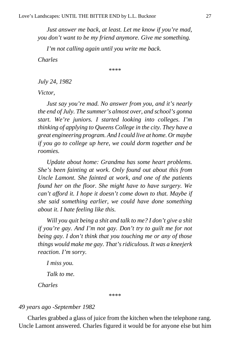*Just answer me back, at least. Let me know if you're mad, you don't want to be my friend anymore. Give me something.*

*I'm not calling again until you write me back.*

*Charles*

\*\*\*\*

*July 24, 1982*

*Victor,*

*Just say you're mad. No answer from you, and it's nearly the end of July. The summer's almost over, and school's gonna start. We're juniors. I started looking into colleges. I'm thinking of applying to Queens College in the city. They have a great engineering program. And I could live at home. Or maybe if you go to college up here, we could dorm together and be roomies.*

*Update about home: Grandma has some heart problems. She's been fainting at work. Only found out about this from Uncle Lamont. She fainted at work, and one of the patients found her on the floor. She might have to have surgery. We can't afford it. I hope it doesn't come down to that. Maybe if she said something earlier, we could have done something about it. I hate feeling like this.*

*Will you quit being a shit and talk to me? I don't give a shit if you're gay. And I'm not gay. Don't try to guilt me for not being gay. I don't think that you touching me or any of those things would make me gay. That's ridiculous. It was a kneejerk reaction. I'm sorry.*

*I miss you.*

*Talk to me.*

*Charles*

\*\*\*\*

#### *49 years ago -September 1982*

Charles grabbed a glass of juice from the kitchen when the telephone rang. Uncle Lamont answered. Charles figured it would be for anyone else but him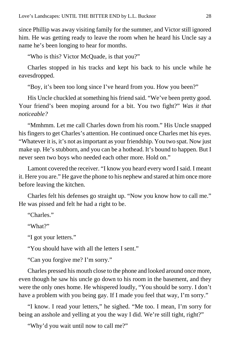since Phillip was away visiting family for the summer, and Victor still ignored him. He was getting ready to leave the room when he heard his Uncle say a name he's been longing to hear for months.

"Who is this? Victor McQuade, is that you?"

Charles stopped in his tracks and kept his back to his uncle while he eavesdropped.

"Boy, it's been too long since I've heard from you. How you been?"

His Uncle chuckled at something his friend said. "We've been pretty good. Your friend's been moping around for a bit. You two fight?" *Was it that noticeable?*

"Mmhmm. Let me call Charles down from his room." His Uncle snapped his fingers to get Charles's attention. He continued once Charles met his eyes. "Whatever it is, it's not as important as your friendship. You two spat. Now just make up. He's stubborn, and you can be a hothead. It's bound to happen. But I never seen two boys who needed each other more. Hold on."

Lamont covered the receiver. "I know you heard every word I said. I meant it. Here you are." He gave the phone to his nephew and stared at him once more before leaving the kitchen.

Charles felt his defenses go straight up. "Now you know how to call me." He was pissed and felt he had a right to be.

"Charles."

"What?"

"I got your letters."

"You should have with all the letters I sent."

"Can you forgive me? I'm sorry."

Charles pressed his mouth close to the phone and looked around once more, even though he saw his uncle go down to his room in the basement, and they were the only ones home. He whispered loudly, "You should be sorry. I don't have a problem with you being gay. If I made you feel that way, I'm sorry."

"I know. I read your letters," he sighed. "Me too. I mean, I'm sorry for being an asshole and yelling at you the way I did. We're still tight, right?"

"Why'd you wait until now to call me?"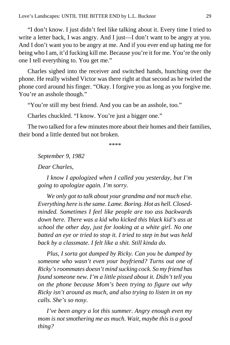"I don't know. I just didn't feel like talking about it. Every time I tried to write a letter back, I was angry. And I just—I don't want to be angry at you. And I don't want you to be angry at me. And if you ever end up hating me for being who I am, it'd fucking kill me. Because you're it for me. You're the only one I tell everything to. You get me."

Charles sighed into the receiver and switched hands, hunching over the phone. He really wished Victor was there right at that second as he twirled the phone cord around his finger. "Okay. I forgive you as long as you forgive me. You're an asshole though."

"You're still my best friend. And you can be an asshole, too."

Charles chuckled. "I know. You're just a bigger one."

The two talked for a few minutes more about their homes and their families, their bond a little dented but not broken.

\*\*\*\*

*September 9, 1982*

*Dear Charles,*

*I know I apologized when I called you yesterday, but I'm going to apologize again. I'm sorry.*

*We only got to talk about your grandma and not much else. Everything here is the same. Lame. Boring. Hot as hell. Closedminded. Sometimes I feel like people are too ass backwards down here. There was a kid who kicked this black kid's ass at school the other day, just for looking at a white girl. No one batted an eye or tried to stop it. I tried to step in but was held back by a classmate. I felt like a shit. Still kinda do.*

*Plus, I sorta got dumped by Ricky. Can you be dumped by someone who wasn't even your boyfriend? Turns out one of Ricky's roommates doesn't mind sucking cock. So my friend has found someone new. I'm a little pissed about it. Didn't tell you on the phone because Mom's been trying to figure out why Ricky isn't around as much, and also trying to listen in on my calls. She's so nosy.*

*I've been angry a lot this summer. Angry enough even my mom is not smothering me as much. Wait, maybe this is a good thing?*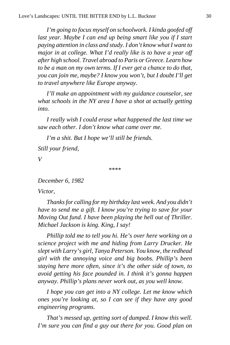*I'm going to focus myself on schoolwork. I kinda goofed off last year. Maybe I can end up being smart like you if I start paying attention in class and study. I don't know what I want to major in at college. What I'd really like is to have a year off after high school. Travel abroad to Paris or Greece. Learn how to be a man on my own terms. If I ever get a chance to do that, you can join me, maybe? I know you won't, but I doubt I'll get to travel anywhere like Europe anyway.*

*I'll make an appointment with my guidance counselor, see what schools in the NY area I have a shot at actually getting into.*

*I really wish I could erase what happened the last time we saw each other. I don't know what came over me.*

*I'm a shit. But I hope we'll still be friends.*

*Still your friend,*

*V*

\*\*\*\*

*December 6, 1982*

*Victor,*

*Thanks for calling for my birthday last week. And you didn't have to send me a gift. I know you're trying to save for your Moving Out fund. I have been playing the hell out of Thriller. Michael Jackson is king. King, I say!*

*Phillip told me to tell you hi. He's over here working on a science project with me and hiding from Larry Drucker. He slept with Larry's girl, Tanya Peterson. You know, the redhead girl with the annoying voice and big boobs. Phillip's been staying here more often, since it's the other side of town, to avoid getting his face pounded in. I think it's gonna happen anyway. Phillip's plans never work out, as you well know.*

*I hope you can get into a NY college. Let me know which ones you're looking at, so I can see if they have any good engineering programs.*

*That's messed up, getting sort of dumped. I know this well. I'm sure you can find a guy out there for you. Good plan on*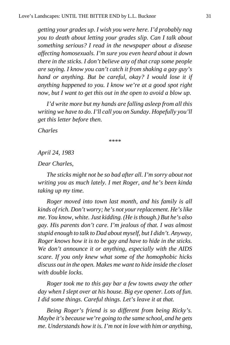*getting your grades up. I wish you were here. I'd probably nag you to death about letting your grades slip. Can I talk about something serious? I read in the newspaper about a disease affecting homosexuals. I'm sure you even heard about it down there in the sticks. I don't believe any of that crap some people are saying. I know you can't catch it from shaking a gay guy's hand or anything. But be careful, okay? I would lose it if anything happened to you. I know we're at a good spot right now, but I want to get this out in the open to avoid a blow up.*

*I'd write more but my hands are falling asleep from all this writing we have to do. I'll call you on Sunday. Hopefully you'll get this letter before then.*

*Charles*

\*\*\*\*

*April 24, 1983*

*Dear Charles,*

*The sticks might not be so bad after all. I'm sorry about not writing you as much lately. I met Roger, and he's been kinda taking up my time.*

*Roger moved into town last month, and his family is all kinds of rich. Don't worry; he's not your replacement. He's like me. You know, white. Just kidding. (He is though.) But he's also gay. His parents don't care. I'm jealous of that. I was almost stupid enough to talk to Dad about myself, but I didn't. Anyway, Roger knows how it is to be gay and have to hide in the sticks. We don't announce it or anything, especially with the AIDS scare. If you only knew what some of the homophobic hicks discuss out in the open. Makes me want to hide inside the closet with double locks.*

*Roger took me to this gay bar a few towns away the other day when I slept over at his house. Big eye opener. Lots of fun. I did some things. Careful things. Let's leave it at that.*

*Being Roger's friend is so different from being Ricky's. Maybe it's because we're going to the same school, and he gets me. Understands how it is. I'm not in love with him or anything,*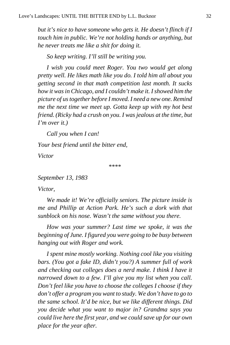*but it's nice to have someone who gets it. He doesn't flinch if I touch him in public. We're not holding hands or anything, but he never treats me like a shit for doing it.*

*So keep writing. I'll still be writing you.*

*I wish you could meet Roger. You two would get along pretty well. He likes math like you do. I told him all about you getting second in that math competition last month. It sucks how it was in Chicago, and I couldn't make it. I showed him the picture of us together before I moved. I need a new one. Remind me the next time we meet up. Gotta keep up with my hot best friend. (Ricky had a crush on you. I was jealous at the time, but I'm over it.)*

*Call you when I can! Your best friend until the bitter end, Victor*

\*\*\*\*

*September 13, 1983*

*Victor,*

*We made it! We're officially seniors. The picture inside is me and Phillip at Action Park. He's such a dork with that sunblock on his nose. Wasn't the same without you there.*

*How was your summer? Last time we spoke, it was the beginning of June. I figured you were going to be busy between hanging out with Roger and work.*

*I spent mine mostly working. Nothing cool like you visiting bars. (You got a fake ID, didn't you?) A summer full of work and checking out colleges does a nerd make. I think I have it narrowed down to a few. I'll give you my list when you call. Don't feel like you have to choose the colleges I choose if they don't offer a program you want to study. We don't have to go to the same school. It'd be nice, but we like different things. Did you decide what you want to major in? Grandma says you could live here the first year, and we could save up for our own place for the year after.*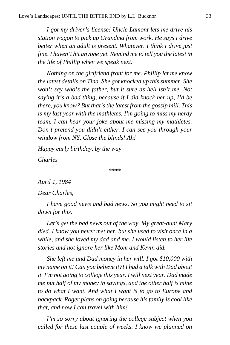*I got my driver's license! Uncle Lamont lets me drive his station wagon to pick up Grandma from work. He says I drive better when an adult is present. Whatever. I think I drive just fine. I haven't hit anyone yet. Remind me to tell you the latest in the life of Phillip when we speak next.*

*Nothing on the girlfriend front for me. Phillip let me know the latest details on Tina. She got knocked up this summer. She won't say who's the father, but it sure as hell isn't me. Not saying it's a bad thing, because if I did knock her up, I'd be there, you know? But that's the latest from the gossip mill. This is my last year with the mathletes. I'm going to miss my nerdy team. I can hear your joke about me missing my mathletes. Don't pretend you didn't either. I can see you through your window from NY. Close the blinds! Ah!*

*Happy early birthday, by the way.*

*Charles*

\*\*\*\*

*April 1, 1984*

*Dear Charles,*

*I have good news and bad news. So you might need to sit down for this.*

*Let's get the bad news out of the way. My great-aunt Mary died. I know you never met her, but she used to visit once in a while, and she loved my dad and me. I would listen to her life stories and not ignore her like Mom and Kevin did.*

*She left me and Dad money in her will. I got \$10,000 with my name on it! Can you believe it?! I had a talk with Dad about it. I'm not going to college this year. I will next year. Dad made me put half of my money in savings, and the other half is mine to do what I want. And what I want is to go to Europe and backpack. Roger plans on going because his family is cool like that, and now I can travel with him!*

*I'm so sorry about ignoring the college subject when you called for these last couple of weeks. I know we planned on*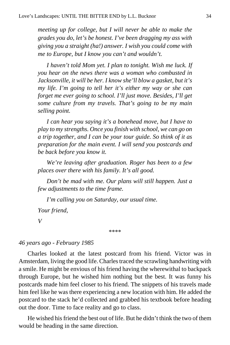*meeting up for college, but I will never be able to make the grades you do, let's be honest. I've been dragging my ass with giving you a straight (ha!) answer. I wish you could come with me to Europe, but I know you can't and wouldn't.*

*I haven't told Mom yet. I plan to tonight. Wish me luck. If you hear on the news there was a woman who combusted in Jacksonville, it will be her. I know she'll blow a gasket, but it's my life. I'm going to tell her it's either my way or she can forget me ever going to school. I'll just move. Besides, I'll get some culture from my travels. That's going to be my main selling point.*

*I can hear you saying it's a bonehead move, but I have to play to my strengths. Once you finish with school, we can go on a trip together, and I can be your tour guide. So think of it as preparation for the main event. I will send you postcards and be back before you know it.*

*We're leaving after graduation. Roger has been to a few places over there with his family. It's all good.*

*Don't be mad with me. Our plans will still happen. Just a few adjustments to the time frame.*

*I'm calling you on Saturday, our usual time. Your friend, V*

\*\*\*\*

#### *46 years ago - February 1985*

Charles looked at the latest postcard from his friend. Victor was in Amsterdam, living the good life. Charles traced the scrawling handwriting with a smile. He might be envious of his friend having the wherewithal to backpack through Europe, but he wished him nothing but the best. It was funny his postcards made him feel closer to his friend. The snippets of his travels made him feel like he was there experiencing a new location with him. He added the postcard to the stack he'd collected and grabbed his textbook before heading out the door. Time to face reality and go to class.

He wished his friend the best out of life. But he didn't think the two of them would be heading in the same direction.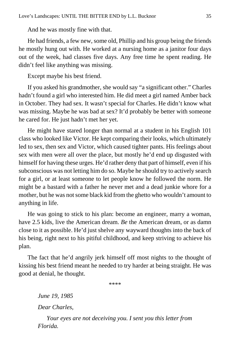And he was mostly fine with that.

He had friends, a few new, some old, Phillip and his group being the friends he mostly hung out with. He worked at a nursing home as a janitor four days out of the week, had classes five days. Any free time he spent reading. He didn't feel like anything was missing.

Except maybe his best friend.

If you asked his grandmother, she would say "a significant other." Charles hadn't found a girl who interested him. He did meet a girl named Amber back in October. They had sex. It wasn't special for Charles. He didn't know what was missing. Maybe he was bad at sex? It'd probably be better with someone he cared for. He just hadn't met her yet.

He might have stared longer than normal at a student in his English 101 class who looked like Victor. He kept comparing their looks, which ultimately led to sex, then sex and Victor, which caused tighter pants. His feelings about sex with men were all over the place, but mostly he'd end up disgusted with himself for having these urges. He'd rather deny that part of himself, even if his subconscious was not letting him do so. Maybe he should try to actively search for a girl, or at least someone to let people know he followed the norm. He might be a bastard with a father he never met and a dead junkie whore for a mother, but he was not some black kid from the ghetto who wouldn't amount to anything in life.

He was going to stick to his plan: become an engineer, marry a woman, have 2.5 kids, live the American dream. *Be* the American dream, or as damn close to it as possible. He'd just shelve any wayward thoughts into the back of his being, right next to his pitiful childhood, and keep striving to achieve his plan.

The fact that he'd angrily jerk himself off most nights to the thought of kissing his best friend meant he needed to try harder at being straight. He was good at denial, he thought.

\*\*\*\*

*June 19, 1985*

*Dear Charles,*

*Your eyes are not deceiving you. I sent you this letter from Florida.*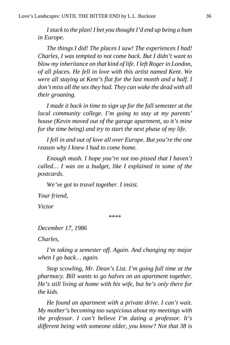*I stuck to the plan! I bet you thought I'd end up being a bum in Europe.*

*The things I did! The places I saw! The experiences I had! Charles, I was tempted to not come back. But I didn't want to blow my inheritance on that kind of life. I left Roger in London, of all places. He fell in love with this artist named Kent. We were all staying at Kent's flat for the last month and a half. I don't miss all the sex they had. They can wake the dead with all their groaning.*

*I made it back in time to sign up for the fall semester at the local community college. I'm going to stay at my parents' house (Kevin moved out of the garage apartment, so it's mine for the time being) and try to start the next phase of my life.*

*I fell in and out of love all over Europe. But you're the one reason why I knew I had to come home.*

*Enough mush. I hope you're not too pissed that I haven't called… I was on a budget, like I explained in some of the postcards.*

*We've got to travel together. I insist.*

*Your friend,*

*Victor*

\*\*\*\*

*December 17, 1986*

*Charles,*

*I'm taking a semester off. Again. And changing my major when I go back… again.*

*Stop scowling, Mr. Dean's List. I'm going full time at the pharmacy. Bill wants to go halves on an apartment together. He's still living at home with his wife, but he's only there for the kids.*

*He found an apartment with a private drive. I can't wait. My mother's becoming too suspicious about my meetings with the professor. I can't believe I'm dating a professor. It's different being with someone older, you know? Not that 38 is*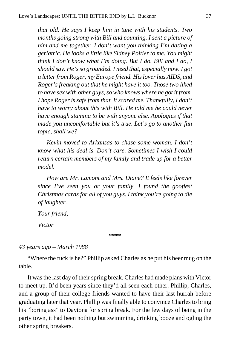*that old. He says I keep him in tune with his students. Two months going strong with Bill and counting. I sent a picture of him and me together. I don't want you thinking I'm dating a geriatric. He looks a little like Sidney Poitier to me. You might think I don't know what I'm doing. But I do. Bill and I do, I should say. He's so grounded. I need that, especially now. I got a letter from Roger, my Europe friend. His lover has AIDS, and Roger's freaking out that he might have it too. Those two liked to have sex with other guys, so who knows where he got it from. I hope Roger is safe from that. It scared me. Thankfully, I don't have to worry about this with Bill. He told me he could never have enough stamina to be with anyone else. Apologies if that made you uncomfortable but it's true. Let's go to another fun topic, shall we?*

*Kevin moved to Arkansas to chase some woman. I don't know what his deal is. Don't care. Sometimes I wish I could return certain members of my family and trade up for a better model.*

*How are Mr. Lamont and Mrs. Diane? It feels like forever since I've seen you or your family. I found the goofiest Christmas cards for all of you guys. I think you're going to die of laughter.*

*Your friend,*

*Victor*

\*\*\*\*

#### *43 years ago – March 1988*

"Where the fuck is he?" Phillip asked Charles as he put his beer mug on the table.

It was the last day of their spring break. Charles had made plans with Victor to meet up. It'd been years since they'd all seen each other. Phillip, Charles, and a group of their college friends wanted to have their last hurrah before graduating later that year. Phillip was finally able to convince Charles to bring his "boring ass" to Daytona for spring break. For the few days of being in the party town, it had been nothing but swimming, drinking booze and ogling the other spring breakers.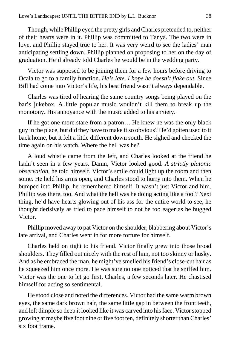Though, while Phillip eyed the pretty girls and Charles pretended to, neither of their hearts were in it. Phillip was committed to Tanya. The two were in love, and Phillip stayed true to her. It was very weird to see the ladies' man anticipating settling down. Phillip planned on proposing to her on the day of graduation. He'd already told Charles he would be in the wedding party.

Victor was supposed to be joining them for a few hours before driving to Ocala to go to a family function. *He's late. I hope he doesn't flake out.* Since Bill had come into Victor's life, his best friend wasn't always dependable.

Charles was tired of hearing the same country songs being played on the bar's jukebox. A little popular music wouldn't kill them to break up the monotony. His annoyance with the music added to his anxiety.

If he got one more stare from a patron… He knew he was the only black guy in the place, but did they have to make it so obvious? He'd gotten used to it back home, but it felt a little different down south. He sighed and checked the time again on his watch. Where the hell was he?

A loud whistle came from the left, and Charles looked at the friend he hadn't seen in a few years. Damn, Victor looked good. *A strictly platonic observation*, he told himself. Victor's smile could light up the room and then some. He held his arms open, and Charles stood to hurry into them. When he bumped into Phillip, he remembered himself. It wasn't just Victor and him. Phillip was there, too. And what the hell was he doing acting like a fool? Next thing, he'd have hearts glowing out of his ass for the entire world to see, he thought derisively as tried to pace himself to not be too eager as he hugged Victor.

Phillip moved away to pat Victor on the shoulder, blabbering about Victor's late arrival, and Charles went in for more torture for himself.

Charles held on tight to his friend. Victor finally grew into those broad shoulders. They filled out nicely with the rest of him, not too skinny or husky. And as he embraced the man, he might've smelled his friend's close-cut hair as he squeezed him once more. He was sure no one noticed that he sniffed him. Victor was the one to let go first, Charles, a few seconds later. He chastised himself for acting so sentimental.

He stood close and noted the differences. Victor had the same warm brown eyes, the same dark brown hair, the same little gap in between the front teeth, and left dimple so deep it looked like it was carved into his face. Victor stopped growing at maybe five foot nine or five foot ten, definitely shorter than Charles' six foot frame.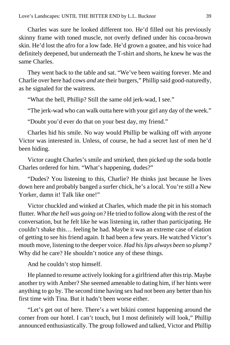Charles was sure he looked different too. He'd filled out his previously skinny frame with toned muscle, not overly defined under his cocoa-brown skin. He'd lost the afro for a low fade. He'd grown a goatee, and his voice had definitely deepened, but underneath the T-shirt and shorts, he knew he was the same Charles.

They went back to the table and sat. "We've been waiting forever. Me and Charlie over here had cows *and* ate their burgers," Phillip said good-naturedly, as he signaled for the waitress.

"What the hell, Phillip? Still the same old jerk-wad, I see."

"The jerk-wad who can walk outta here with your girl any day of the week."

"Doubt you'd ever do that on your best day, my friend."

Charles hid his smile. No way would Phillip be walking off with anyone Victor was interested in. Unless, of course, he had a secret lust of men he'd been hiding.

Victor caught Charles's smile and smirked, then picked up the soda bottle Charles ordered for him. "What's happening, dudes?"

"Dudes? You listening to this, Charlie? He thinks just because he lives down here and probably banged a surfer chick, he's a local. You're still a New Yorker, damn it! Talk like one!"

Victor chuckled and winked at Charles, which made the pit in his stomach flutter*. What the hell was going on?* He tried to follow along with the rest of the conversation, but he felt like he was listening in, rather than participating. He couldn't shake this… feeling he had. Maybe it was an extreme case of elation of getting to see his friend again. It had been a few years. He watched Victor's mouth move, listening to the deeper voice. *Had his lips always been so plump?*  Why did he care? He shouldn't notice any of these things.

And he couldn't stop himself.

He planned to resume actively looking for a girlfriend after this trip. Maybe another try with Amber? She seemed amenable to dating him, if her hints were anything to go by. The second time having sex had not been any better than his first time with Tina. But it hadn't been worse either.

"Let's get out of here. There's a wet bikini contest happening around the corner from our hotel. I can't touch, but I most definitely will look," Phillip announced enthusiastically. The group followed and talked, Victor and Phillip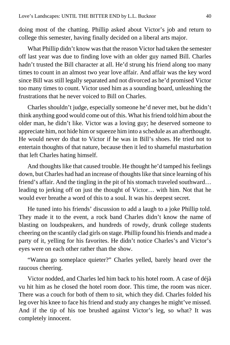doing most of the chatting. Phillip asked about Victor's job and return to college this semester, having finally decided on a liberal arts major.

What Phillip didn't know was that the reason Victor had taken the semester off last year was due to finding love with an older guy named Bill. Charles hadn't trusted the Bill character at all. He'd strung his friend along too many times to count in an almost two year love affair. And affair was the key word since Bill was still legally separated and not divorced as he'd promised Victor too many times to count. Victor used him as a sounding board, unleashing the frustrations that he never voiced to Bill on Charles.

Charles shouldn't judge, especially someone he'd never met, but he didn't think anything good would come out of this. What his friend told him about the older man, he didn't like. Victor was a loving guy; he deserved someone to appreciate him, not hide him or squeeze him into a schedule as an afterthought. He would never do that to Victor if he was in Bill's shoes. He tried not to entertain thoughts of that nature, because then it led to shameful masturbation that left Charles hating himself.

And thoughts like that caused trouble. He thought he'd tamped his feelings down, but Charles had had an increase of thoughts like that since learning of his friend's affair. And the tingling in the pit of his stomach traveled southward… leading to jerking off on just the thought of Victor… with him. Not that he would ever breathe a word of this to a soul. It was his deepest secret.

He tuned into his friends' discussion to add a laugh to a joke Phillip told. They made it to the event, a rock band Charles didn't know the name of blasting on loudspeakers, and hundreds of rowdy, drunk college students cheering on the scantily clad girls on stage. Phillip found his friends and made a party of it, yelling for his favorites. He didn't notice Charles's and Victor's eyes were on each other rather than the show.

"Wanna go someplace quieter?" Charles yelled, barely heard over the raucous cheering.

Victor nodded, and Charles led him back to his hotel room. A case of déjà vu hit him as he closed the hotel room door. This time, the room was nicer. There was a couch for both of them to sit, which they did. Charles folded his leg over his knee to face his friend and study any changes he might've missed. And if the tip of his toe brushed against Victor's leg, so what? It was completely innocent.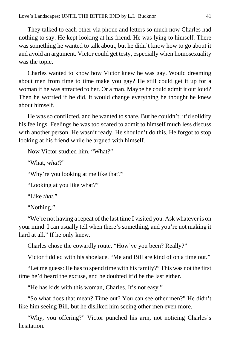They talked to each other via phone and letters so much now Charles had nothing to say. He kept looking at his friend. He was lying to himself. There was something he wanted to talk about, but he didn't know how to go about it and avoid an argument. Victor could get testy, especially when homosexuality was the topic.

Charles wanted to know how Victor knew he was gay. Would dreaming about men from time to time make you gay? He still could get it up for a woman if he was attracted to her. Or a man. Maybe he could admit it out loud? Then he worried if he did, it would change everything he thought he knew about himself.

He was so conflicted, and he wanted to share. But he couldn't; it'd solidify his feelings. Feelings he was too scared to admit to himself much less discuss with another person. He wasn't ready. He shouldn't do this. He forgot to stop looking at his friend while he argued with himself.

```
Now Victor studied him. "What?"
```
"What, *what*?"

"Why're you looking at me like that?"

"Looking at you like what?"

"Like *that*."

"Nothing."

"We're not having a repeat of the last time I visited you. Ask whatever is on your mind. I can usually tell when there's something, and you're not making it hard at all." If he only knew.

Charles chose the cowardly route. "How've you been? Really?"

Victor fiddled with his shoelace. "Me and Bill are kind of on a time out."

"Let me guess: He has to spend time with his family?" This was not the first time he'd heard the excuse, and he doubted it'd be the last either.

"He has kids with this woman, Charles. It's not easy."

"So what does that mean? Time out? You can see other men?" He didn't like him seeing Bill, but he disliked him seeing other men even more.

"Why, you offering?" Victor punched his arm, not noticing Charles's hesitation.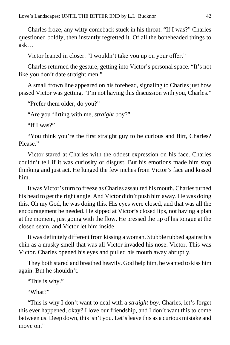Charles froze, any witty comeback stuck in his throat. "If I was?" Charles questioned boldly, then instantly regretted it. Of all the boneheaded things to ask…

Victor leaned in closer. "I wouldn't take you up on your offer."

Charles returned the gesture, getting into Victor's personal space. "It's not like you don't date straight men."

A small frown line appeared on his forehead, signaling to Charles just how pissed Victor was getting. "I'm not having this discussion with you, Charles."

"Prefer them older, do you?"

"Are you flirting with me, *straight* boy?"

"If I was?"

"You think you're the first straight guy to be curious and flirt, Charles? Please."

Victor stared at Charles with the oddest expression on his face. Charles couldn't tell if it was curiosity or disgust. But his emotions made him stop thinking and just act. He lunged the few inches from Victor's face and kissed him.

It was Victor's turn to freeze as Charles assaulted his mouth. Charles turned his head to get the right angle. And Victor didn't push him away. He was doing this. Oh my God, he was doing this. His eyes were closed, and that was all the encouragement he needed. He sipped at Victor's closed lips, not having a plan at the moment, just going with the flow. He pressed the tip of his tongue at the closed seam, and Victor let him inside.

It was definitely different from kissing a woman. Stubble rubbed against his chin as a musky smell that was all Victor invaded his nose. Victor. This was Victor. Charles opened his eyes and pulled his mouth away abruptly.

They both stared and breathed heavily. God help him, he wanted to kiss him again. But he shouldn't.

"This is why."

"What?"

"This is why I don't want to deal with a *straight boy*. Charles, let's forget this ever happened, okay? I love our friendship, and I don't want this to come between us. Deep down, this isn't you. Let's leave this as a curious mistake and move on."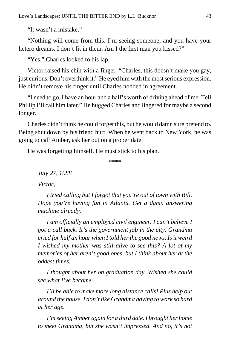"It wasn't a mistake."

"Nothing will come from this. I'm seeing someone, and you have your hetero dreams. I don't fit in them. Am I the first man you kissed?"

"Yes." Charles looked to his lap.

Victor raised his chin with a finger. "Charles, this doesn't make you gay, just curious. Don't overthink it." He eyed him with the most serious expression. He didn't remove his finger until Charles nodded in agreement.

"I need to go. I have an hour and a half's worth of driving ahead of me. Tell Phillip I'll call him later." He hugged Charles and lingered for maybe a second longer.

Charles didn't think he could forget this, but he would damn sure pretend to. Being shut down by his friend hurt. When he went back to New York, he was going to call Amber, ask her out on a proper date.

He was forgetting himself. He must stick to his plan.

\*\*\*\*

*July 27, 1988*

*Victor,*

*I tried calling but I forgot that you're out of town with Bill. Hope you're having fun in Atlanta. Get a damn answering machine already.*

*I am officially an employed civil engineer. I can't believe I got a call back. It's the government job in the city. Grandma cried for half an hour when I told her the good news. Is it weird I wished my mother was still alive to see this? A lot of my memories of her aren't good ones, but I think about her at the oddest times.*

*I thought about her on graduation day. Wished she could see what I've become.*

*I'll be able to make more long distance calls! Plus help out around the house. I don't like Grandma having to work so hard at her age.*

*I'm seeing Amber again for a third date. I brought her home to meet Grandma, but she wasn't impressed. And no, it's not*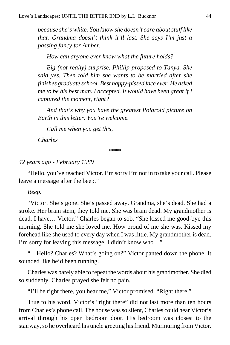*because she's white. You know she doesn't care about stuff like that. Grandma doesn't think it'll last. She says I'm just a passing fancy for Amber.*

*How can anyone ever know what the future holds?*

*Big (not really) surprise, Phillip proposed to Tanya. She said yes. Then told him she wants to be married after she finishes graduate school. Best happy-pissed face ever. He asked me to be his best man. I accepted. It would have been great if I captured the moment, right?*

*And that's why you have the greatest Polaroid picture on Earth in this letter. You're welcome.*

*Call me when you get this,*

*Charles*

\*\*\*\*

#### *42 years ago - February 1989*

"Hello, you've reached Victor. I'm sorry I'm not in to take your call. Please leave a message after the beep."

#### *Beep.*

"Victor. She's gone. She's passed away. Grandma, she's dead. She had a stroke. Her brain stem, they told me. She was brain dead. My grandmother is dead. I have… Victor." Charles began to sob. "She kissed me good-bye this morning. She told me she loved me. How proud of me she was. Kissed my forehead like she used to every day when I was little. My grandmother is dead. I'm sorry for leaving this message. I didn't know who—"

"—Hello? Charles? What's going on?" Victor panted down the phone. It sounded like he'd been running.

Charles was barely able to repeat the words about his grandmother. She died so suddenly. Charles prayed she felt no pain.

"I'll be right there, you hear me," Victor promised. "Right there."

True to his word, Victor's "right there" did not last more than ten hours from Charles's phone call. The house was so silent, Charles could hear Victor's arrival through his open bedroom door. His bedroom was closest to the stairway, so he overheard his uncle greeting his friend. Murmuring from Victor.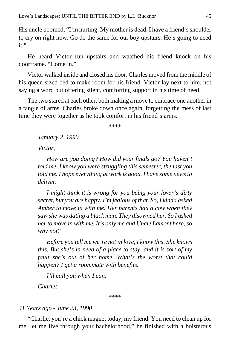His uncle boomed, "I'm hurting. My mother is dead. I have a friend's shoulder to cry on right now. Go do the same for our boy upstairs. He's going to need it."

He heard Victor run upstairs and watched his friend knock on his doorframe. "Come in."

Victor walked inside and closed his door. Charles moved from the middle of his queen-sized bed to make room for his friend. Victor lay next to him, not saying a word but offering silent, comforting support in his time of need.

The two stared at each other, both making a move to embrace one another in a tangle of arms. Charles broke down once again, forgetting the mess of last time they were together as he took comfort in his friend's arms.

\*\*\*\*

*January 2, 1990*

*Victor,*

*How are you doing? How did your finals go? You haven't told me. I know you were struggling this semester, the last you told me. I hope everything at work is good. I have some news to deliver.*

*I might think it is wrong for you being your lover's dirty secret, but you are happy. I'm jealous of that. So, I kinda asked Amber to move in with me. Her parents had a cow when they saw she was dating a black man. They disowned her. So I asked her to move in with me. It's only me and Uncle Lamont here, so why not?*

*Before you tell me we're not in love, I know this. She knows this. But she's in need of a place to stay, and it is sort of my fault she's out of her home. What's the worst that could happen? I get a roommate with benefits.*

*I'll call you when I can,*

*Charles*

\*\*\*\*

#### *41 Years ago - June 23, 1990*

"Charlie, you're a chick magnet today, my friend. You need to clean up for me, let me live through your bachelorhood," he finished with a boisterous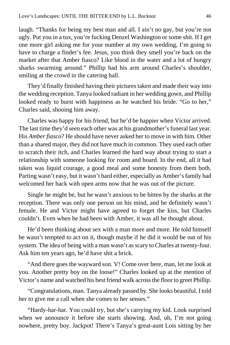laugh. "Thanks for being my best man and all. I ain't no gay, but you're not ugly. Put you in a tux, you're fucking Denzel Washington or some shit. If I get one more girl asking me for your number at my own wedding, I'm going to have to charge a finder's fee. Jesus, you think they smell you're back on the market after that Amber fiasco? Like blood in the water and a lot of hungry sharks swarming around." Phillip had his arm around Charles's shoulder, smiling at the crowd in the catering hall.

They'd finally finished having their pictures taken and made their way into the wedding reception. Tanya looked radiant in her wedding gown, and Phillip looked ready to burst with happiness as he watched his bride. "Go to her," Charles said, shooing him away.

Charles was happy for his friend, but he'd be happier when Victor arrived. The last time they'd seen each other was at his grandmother's funeral last year. His *Amber fiasco*? He should have never asked her to move in with him. Other than a shared major, they did not have much in common. They used each other to scratch their itch, and Charles learned the hard way about trying to start a relationship with someone looking for room and board. In the end, all it had taken was liquid courage, a good meal and some honesty from them both. Parting wasn't easy, but it wasn't hard either, especially as Amber's family had welcomed her back with open arms now that he was out of the picture.

Single he might be, but he wasn't anxious to be bitten by the sharks at the reception. There was only one person on his mind, and he definitely wasn't female. He and Victor might have agreed to forget the kiss, but Charles couldn't. Even when he had been with Amber, it was all he thought about.

He'd been thinking about sex with a man more and more. He told himself he wasn't tempted to act on it, though maybe if he did it would be out of his system. The idea of being with a man wasn't as scary to Charles at twenty-four. Ask him ten years ago, he'd have shit a brick.

"And there goes the wayward son. V! Come over here, man, let me look at you. Another pretty boy on the loose!" Charles looked up at the mention of Victor's name and watched his best friend walk across the floor to greet Phillip.

"Congratulations, man. Tanya already passed by. She looks beautiful. I told her to give me a call when she comes to her senses."

"Hardy-har-har. You could try, but she's carrying my kid. Look surprised when we announce it before she starts showing. And, uh, I'm not going nowhere, pretty boy. Jackpot! There's Tanya's great-aunt Lois sitting by her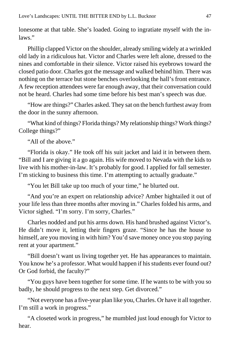lonesome at that table. She's loaded. Going to ingratiate myself with the inlaws."

Phillip clapped Victor on the shoulder, already smiling widely at a wrinkled old lady in a ridiculous hat. Victor and Charles were left alone, dressed to the nines and comfortable in their silence. Victor raised his eyebrows toward the closed patio door. Charles got the message and walked behind him. There was nothing on the terrace but stone benches overlooking the hall's front entrance. A few reception attendees were far enough away, that their conversation could not be heard. Charles had some time before his best man's speech was due.

"How are things?" Charles asked. They sat on the bench furthest away from the door in the sunny afternoon.

"What kind of things? Florida things? My relationship things? Work things? College things?"

"All of the above."

"Florida is okay." He took off his suit jacket and laid it in between them. "Bill and I are giving it a go again. His wife moved to Nevada with the kids to live with his mother-in-law. It's probably for good. I applied for fall semester. I'm sticking to business this time. I'm attempting to actually graduate."

"You let Bill take up too much of your time," he blurted out.

"And you're an expert on relationship advice? Amber hightailed it out of your life less than three months after moving in." Charles folded his arms, and Victor sighed. "I'm sorry. I'm sorry, Charles."

Charles nodded and put his arms down. His hand brushed against Victor's. He didn't move it, letting their fingers graze. "Since he has the house to himself, are you moving in with him? You'd save money once you stop paying rent at your apartment."

"Bill doesn't want us living together yet. He has appearances to maintain. You know he's a professor. What would happen if his students ever found out? Or God forbid, the faculty?"

"You guys have been together for some time. If he wants to be with you so badly, he should progress to the next step. Get divorced."

"Not everyone has a five-year plan like you, Charles. Or have it all together. I'm still a work in progress."

"A closeted work in progress," he mumbled just loud enough for Victor to hear.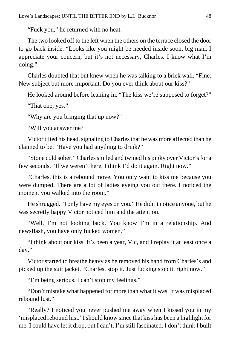"Fuck you," he returned with no heat.

The two looked off to the left when the others on the terrace closed the door to go back inside. "Looks like you might be needed inside soon, big man. I appreciate your concern, but it's not necessary, Charles. I know what I'm doing."

Charles doubted that but knew when he was talking to a brick wall. "Fine. New subject but more important. Do you ever think about our kiss?"

He looked around before leaning in. "The kiss we're supposed to forget?"

"That one, yes."

"Why are you bringing that up now?"

"Will you answer me?

Victor tilted his head, signaling to Charles that he was more affected than he claimed to be. "Have you had anything to drink?"

"Stone cold sober." Charles smiled and twined his pinky over Victor's for a few seconds. "If we weren't here, I think I'd do it again. Right now."

"Charles, this is a rebound move. You only want to kiss me because you were dumped. There are a lot of ladies eyeing you out there. I noticed the moment you walked into the room."

He shrugged. "I only have my eyes on you." He didn't notice anyone, but he was secretly happy Victor noticed him and the attention.

"Well, I'm not looking back. You know I'm in a relationship. And newsflash, you have only fucked women."

"I think about our kiss. It's been a year, Vic, and I replay it at least once a day."

Victor started to breathe heavy as he removed his hand from Charles's and picked up the suit jacket. "Charles, stop it. Just fucking stop it, right now."

"I'm being serious. I can't stop my feelings."

"Don't mistake what happened for more than what it was. It was misplaced rebound lust."

"Really? I noticed you never pushed me away when I kissed you in my 'misplaced rebound lust.' I should know since that kiss has been a highlight for me. I could have let it drop, but I can't. I'm still fascinated. I don't think I built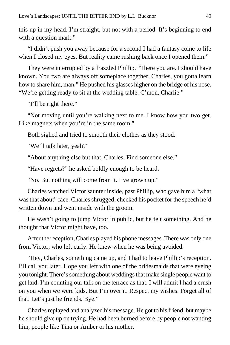this up in my head. I'm straight, but not with a period. It's beginning to end with a question mark."

"I didn't push you away because for a second I had a fantasy come to life when I closed my eyes. But reality came rushing back once I opened them."

They were interrupted by a frazzled Phillip. "There you are. I should have known. You two are always off someplace together. Charles, you gotta learn how to share him, man." He pushed his glasses higher on the bridge of his nose. "We're getting ready to sit at the wedding table. C'mon, Charlie."

"I'll be right there."

"Not moving until you're walking next to me. I know how you two get. Like magnets when you're in the same room."

Both sighed and tried to smooth their clothes as they stood.

"We'll talk later, yeah?"

"About anything else but that, Charles. Find someone else."

"Have regrets?" he asked boldly enough to be heard.

"No. But nothing will come from it. I've grown up."

Charles watched Victor saunter inside, past Phillip, who gave him a "what was that about" face. Charles shrugged, checked his pocket for the speech he'd written down and went inside with the groom.

He wasn't going to jump Victor in public, but he felt something. And he thought that Victor might have, too.

After the reception, Charles played his phone messages. There was only one from Victor, who left early. He knew when he was being avoided.

"Hey, Charles, something came up, and I had to leave Phillip's reception. I'll call you later. Hope you left with one of the bridesmaids that were eyeing you tonight. There's something about weddings that make single people want to get laid. I'm counting our talk on the terrace as that. I will admit I had a crush on you when we were kids. But I'm over it. Respect my wishes. Forget all of that. Let's just be friends. Bye."

Charles replayed and analyzed his message. He got to his friend, but maybe he should give up on trying. He had been burned before by people not wanting him, people like Tina or Amber or his mother.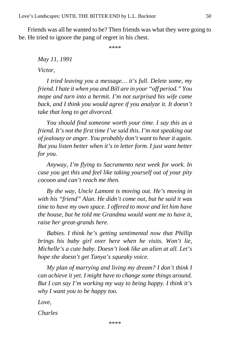Friends was all he wanted to be? Then friends was what they were going to be. He tried to ignore the pang of regret in his chest.

\*\*\*\*

*May 11, 1991*

*Victor,*

*I tried leaving you a message… it's full. Delete some, my friend. I hate it when you and Bill are in your "off period." You mope and turn into a hermit. I'm not surprised his wife came back, and I think you would agree if you analyze it. It doesn't take that long to get divorced.*

*You should find someone worth your time. I say this as a friend. It's not the first time I've said this. I'm not speaking out of jealousy or anger. You probably don't want to hear it again. But you listen better when it's in letter form. I just want better for you.*

*Anyway, I'm flying to Sacramento next week for work. In case you get this and feel like taking yourself out of your pity cocoon and can't reach me then.*

*By the way, Uncle Lamont is moving out. He's moving in with his "friend" Alan. He didn't come out, but he said it was time to have my own space. I offered to move and let him have the house, but he told me Grandma would want me to have it, raise her great-grands here.*

*Babies. I think he's getting sentimental now that Phillip brings his baby girl over here when he visits. Won't lie, Michelle's a cute baby. Doesn't look like an alien at all. Let's hope she doesn't get Tanya's squeaky voice.*

*My plan of marrying and living my dream? I don't think I can achieve it yet. I might have to change some things around. But I can say I'm working my way to being happy. I think it's why I want you to be happy too.*

*Love,*

*Charles*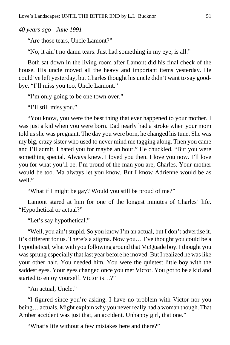*40 years ago - June 1991*

"Are those tears, Uncle Lamont?"

"No, it ain't no damn tears. Just had something in my eye, is all."

Both sat down in the living room after Lamont did his final check of the house. His uncle moved all the heavy and important items yesterday. He could've left yesterday, but Charles thought his uncle didn't want to say goodbye. "I'll miss you too, Uncle Lamont."

"I'm only going to be one town over."

"I'll still miss you."

"You know, you were the best thing that ever happened to your mother. I was just a kid when you were born. Dad nearly had a stroke when your mom told us she was pregnant. The day you were born, he changed his tune. She was my big, crazy sister who used to never mind me tagging along. Then you came and I'll admit, I hated you for maybe an hour." He chuckled. "But you were something special. Always knew. I loved you then. I love you now. I'll love you for what you'll be. I'm proud of the man you are, Charles. Your mother would be too. Ma always let you know. But I know Adrienne would be as well."

"What if I might be gay? Would you still be proud of me?"

Lamont stared at him for one of the longest minutes of Charles' life. "Hypothetical or actual?"

"Let's say hypothetical."

"Well, you ain't stupid. So you know I'm an actual, but I don't advertise it. It's different for us. There's a stigma. Now you… I've thought you could be a hypothetical, what with you following around that McQuade boy. I thought you was sprung especially that last year before he moved. But I realized he was like your other half. You needed him. You were the quietest little boy with the saddest eyes. Your eyes changed once you met Victor. You got to be a kid and started to enjoy yourself. Victor is…?"

"An actual, Uncle."

"I figured since you're asking. I have no problem with Victor nor you being… actuals. Might explain why you never really had a woman though. That Amber accident was just that, an accident. Unhappy girl, that one."

"What's life without a few mistakes here and there?"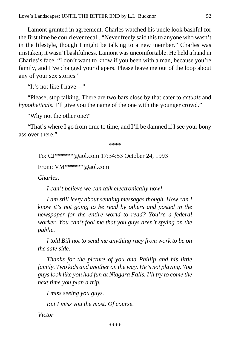Lamont grunted in agreement. Charles watched his uncle look bashful for the first time he could ever recall. "Never freely said this to anyone who wasn't in the lifestyle, though I might be talking to a new member." Charles was mistaken; it wasn't bashfulness. Lamont was uncomfortable. He held a hand in Charles's face. "I don't want to know if you been with a man, because you're family, and I've changed your diapers. Please leave me out of the loop about any of your sex stories."

"It's not like I have—"

"Please, stop talking. There are two bars close by that cater to *actuals* and *hypotheticals*. I'll give you the name of the one with the younger crowd."

"Why not the other one?"

"That's where I go from time to time, and I'll be damned if I see your bony ass over there."

\*\*\*\*

To: CJ\*\*\*\*\*\*@aol.com 17:34:53 October 24, 1993

From: VM\*\*\*\*\*\*@aol.com

*Charles,*

*I can't believe we can talk electronically now!*

*I am still leery about sending messages though. How can I know it's not going to be read by others and posted in the newspaper for the entire world to read? You're a federal worker. You can't fool me that you guys aren't spying on the public.*

*I told Bill not to send me anything racy from work to be on the safe side.*

*Thanks for the picture of you and Phillip and his little family. Two kids and another on the way. He's not playing. You guys look like you had fun at Niagara Falls. I'll try to come the next time you plan a trip.*

*I miss seeing you guys.*

*But I miss you the most. Of course.*

*Victor*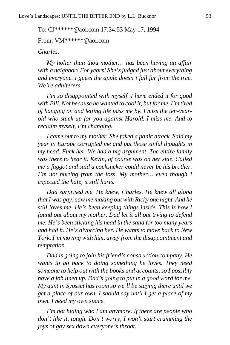To: CJ\*\*\*\*\*\*@aol.com 17:34:53 May 17, 1994

From: VM\*\*\*\*\*\*@aol.com

*Charles,*

*My holier than thou mother… has been having an affair with a neighbor! For years! She's judged just about everything and everyone. I guess the apple doesn't fall far from the tree. We're adulterers.*

*I'm so disappointed with myself. I have ended it for good with Bill. Not because he wanted to cool it, but for me. I'm tired of hanging on and letting life pass me by. I miss the ten-yearold who stuck up for you against Harold. I miss me. And to reclaim myself, I'm changing.*

*I came out to my mother. She faked a panic attack. Said my year in Europe corrupted me and put those sinful thoughts in my head. Fuck her. We had a big argument. The entire family was there to hear it. Kevin, of course was on her side. Called me a faggot and said a cocksucker could never be his brother. I'm not hurting from the loss. My mother… even though I expected the hate, it still hurts.*

*Dad surprised me. He knew, Charles. He knew all along that I was gay; saw me making out with Ricky one night. And he still loves me. He's been keeping things inside. This is how I found out about my mother. Dad let it all out trying to defend me. He's been sticking his head in the sand for too many years and had it. He's divorcing her. He wants to move back to New York. I'm moving with him, away from the disappointment and temptation.*

*Dad is going to join his friend's construction company. He wants to go back to doing something he loves. They need someone to help out with the books and accounts, so I possibly have a job lined up. Dad's going to put in a good word for me. My aunt in Syosset has room so we'll be staying there until we get a place of our own. I should say until I get a place of my own. I need my own space.*

*I'm not hiding who I am anymore. If there are people who don't like it, tough. Don't worry, I won't start cramming the joys of gay sex down everyone's throat.*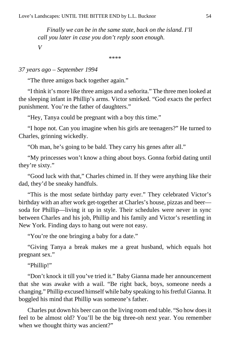*Finally we can be in the same state, back on the island. I'll call you later in case you don't reply soon enough. V*

\*\*\*\*

*37 years ago – September 1994*

"The three amigos back together again."

"I think it's more like three amigos and a señorita." The three men looked at the sleeping infant in Phillip's arms. Victor smirked. "God exacts the perfect punishment. You're the father of daughters."

"Hey, Tanya could be pregnant with a boy this time."

"I hope not. Can you imagine when his girls are teenagers?" He turned to Charles, grinning wickedly.

"Oh man, he's going to be bald. They carry his genes after all."

"My princesses won't know a thing about boys. Gonna forbid dating until they're sixty."

"Good luck with that," Charles chimed in. If they were anything like their dad, they'd be sneaky handfuls.

"This is the most sedate birthday party ever." They celebrated Victor's birthday with an after work get-together at Charles's house, pizzas and beer soda for Phillip—living it up in style. Their schedules were never in sync between Charles and his job, Phillip and his family and Victor's resettling in New York. Finding days to hang out were not easy.

"You're the one bringing a baby for a date."

"Giving Tanya a break makes me a great husband, which equals hot pregnant sex."

"Phillip!"

"Don't knock it till you've tried it." Baby Gianna made her announcement that she was awake with a wail. "Be right back, boys, someone needs a changing." Phillip excused himself while baby speaking to his fretful Gianna. It boggled his mind that Phillip was someone's father.

Charles put down his beer can on the living room end table. "So how does it feel to be almost old? You'll be the big three-oh next year. You remember when we thought thirty was ancient?"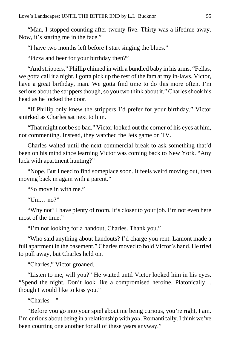"Man, I stopped counting after twenty-five. Thirty was a lifetime away. Now, it's staring me in the face."

"I have two months left before I start singing the blues."

"Pizza and beer for your birthday then?"

"And strippers," Phillip chimed in with a bundled baby in his arms. "Fellas, we gotta call it a night. I gotta pick up the rest of the fam at my in-laws. Victor, have a great birthday, man. We gotta find time to do this more often. I'm serious about the strippers though, so you two think about it." Charles shook his head as he locked the door.

"If Phillip only knew the strippers I'd prefer for your birthday." Victor smirked as Charles sat next to him.

"That might not be so bad." Victor looked out the corner of his eyes at him, not commenting. Instead, they watched the Jets game on TV.

Charles waited until the next commercial break to ask something that'd been on his mind since learning Victor was coming back to New York. "Any luck with apartment hunting?"

"Nope. But I need to find someplace soon. It feels weird moving out, then moving back in again with a parent."

"So move in with me."

"Um… no?"

"Why not? I have plenty of room. It's closer to your job. I'm not even here most of the time."

"I'm not looking for a handout, Charles. Thank you."

"Who said anything about handouts? I'd charge you rent. Lamont made a full apartment in the basement." Charles moved to hold Victor's hand. He tried to pull away, but Charles held on.

"Charles," Victor groaned.

"Listen to me, will you?" He waited until Victor looked him in his eyes. "Spend the night. Don't look like a compromised heroine. Platonically… though I would like to kiss you."

"Charles—"

"Before you go into your spiel about me being curious, you're right, I am. I'm curious about being in a relationship with *you*. Romantically. I think we've been courting one another for all of these years anyway."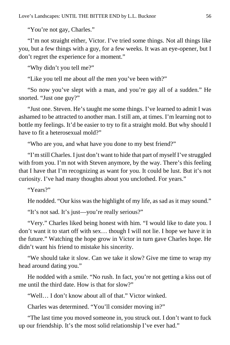"You're not gay, Charles."

"I'm not straight either, Victor. I've tried some things. Not all things like you, but a few things with a guy, for a few weeks. It was an eye-opener, but I don't regret the experience for a moment."

"Why didn't you tell me?"

"Like you tell me about *all* the men you've been with?"

"So now you've slept with a man, and you're gay all of a sudden." He snorted. "Just one guy?"

"Just one. Steven. He's taught me some things. I've learned to admit I was ashamed to be attracted to another man. I still am, at times. I'm learning not to bottle my feelings. It'd be easier to try to fit a straight mold. But why should I have to fit a heterosexual mold?"

"Who are you, and what have you done to my best friend?"

"I'm still Charles. I just don't want to hide that part of myself I've struggled with from you. I'm not with Steven anymore, by the way. There's this feeling that I have that I'm recognizing as want for you. It could be lust. But it's not curiosity. I've had many thoughts about you unclothed. For years."

"Years?"

He nodded. "Our kiss was the highlight of my life, as sad as it may sound."

"It's not sad. It's just—you're really serious?"

"Very." Charles liked being honest with him. "I would like to date you. I don't want it to start off with sex… though I will not lie. I hope we have it in the future." Watching the hope grow in Victor in turn gave Charles hope. He didn't want his friend to mistake his sincerity.

"We should take it slow. Can we take it slow? Give me time to wrap my head around dating you."

He nodded with a smile. "No rush. In fact, you're not getting a kiss out of me until the third date. How is that for slow?"

"Well… I don't know about all of that." Victor winked.

Charles was determined. "You'll consider moving in?"

"The last time you moved someone in, you struck out. I don't want to fuck up our friendship. It's the most solid relationship I've ever had."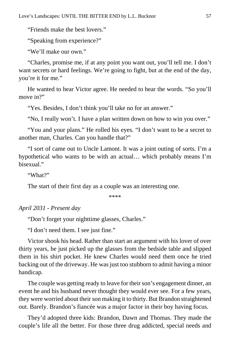"Friends make the best lovers."

"Speaking from experience?"

"We'll make our own."

"Charles, promise me, if at any point you want out, you'll tell me. I don't want secrets or hard feelings. We're going to fight, but at the end of the day, you're it for me."

He wanted to hear Victor agree. He needed to hear the words. "So you'll move in?"

"Yes. Besides, I don't think you'll take no for an answer."

"No, I really won't. I have a plan written down on how to win you over."

"You and your plans." He rolled his eyes. "I don't want to be a secret to another man, Charles. Can you handle that?"

"I sort of came out to Uncle Lamont. It was a joint outing of sorts. I'm a hypothetical who wants to be with an actual… which probably means I'm bisexual."

"What?"

The start of their first day as a couple was an interesting one.

\*\*\*\*

*April 2031 - Present day*

"Don't forget your nighttime glasses, Charles."

"I don't need them. I see just fine."

Victor shook his head. Rather than start an argument with his lover of over thirty years, he just picked up the glasses from the bedside table and slipped them in his shirt pocket. He knew Charles would need them once he tried backing out of the driveway. He was just too stubborn to admit having a minor handicap.

The couple was getting ready to leave for their son's engagement dinner, an event he and his husband never thought they would ever see. For a few years, they were worried about their son making it to thirty. But Brandon straightened out. Barely. Brandon's fiancée was a major factor in their boy having focus.

They'd adopted three kids: Brandon, Dawn and Thomas. They made the couple's life all the better. For those three drug addicted, special needs and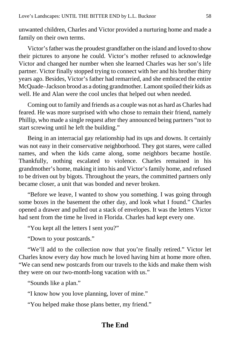unwanted children, Charles and Victor provided a nurturing home and made a family on their own terms.

Victor's father was the proudest grandfather on the island and loved to show their pictures to anyone he could. Victor's mother refused to acknowledge Victor and changed her number when she learned Charles was her son's life partner. Victor finally stopped trying to connect with her and his brother thirty years ago. Besides, Victor's father had remarried, and she embraced the entire McQuade–Jackson brood as a doting grandmother. Lamont spoiled their kids as well. He and Alan were the cool uncles that helped out when needed.

Coming out to family and friends as a couple was not as hard as Charles had feared. He was more surprised with who chose to remain their friend, namely Phillip, who made a single request after they announced being partners "not to start screwing until he left the building."

Being in an interracial gay relationship had its ups and downs. It certainly was not easy in their conservative neighborhood. They got stares, were called names, and when the kids came along, some neighbors became hostile. Thankfully, nothing escalated to violence. Charles remained in his grandmother's home, making it into his and Victor's family home, and refused to be driven out by bigots. Throughout the years, the committed partners only became closer, a unit that was bonded and never broken.

"Before we leave, I wanted to show you something. I was going through some boxes in the basement the other day, and look what I found." Charles opened a drawer and pulled out a stack of envelopes. It was the letters Victor had sent from the time he lived in Florida. Charles had kept every one.

"You kept all the letters I sent you?"

"Down to your postcards."

"We'll add to the collection now that you're finally retired." Victor let Charles know every day how much he loved having him at home more often. "We can send new postcards from our travels to the kids and make them wish they were on our two-month-long vacation with us."

"Sounds like a plan."

"I know how you love planning, lover of mine."

"You helped make those plans better, my friend."

### **The End**